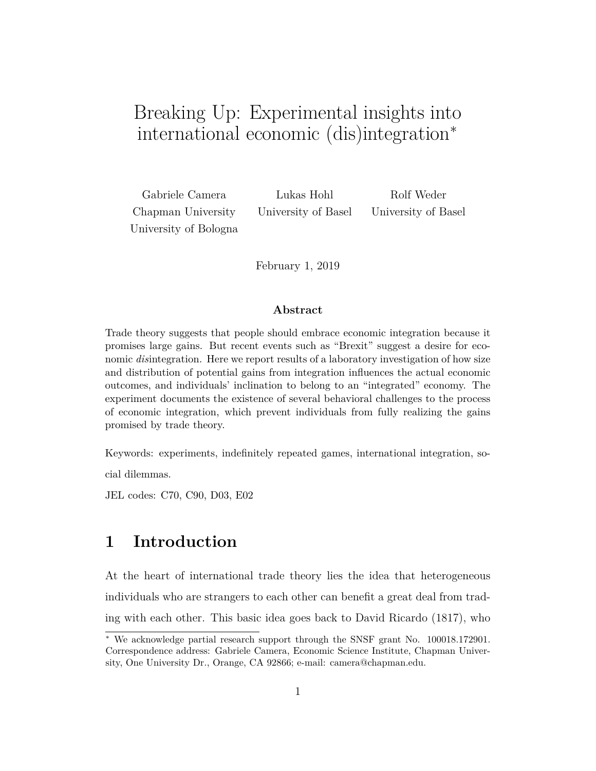# Breaking Up: Experimental insights into international economic (dis)integration<sup>∗</sup>

Chapman University University of Basel University of Basel University of Bologna

Gabriele Camera Lukas Hohl Rolf Weder

February 1, 2019

#### **Abstract**

Trade theory suggests that people should embrace economic integration because it promises large gains. But recent events such as "Brexit" suggest a desire for economic *dis*integration. Here we report results of a laboratory investigation of how size and distribution of potential gains from integration influences the actual economic outcomes, and individuals' inclination to belong to an "integrated" economy. The experiment documents the existence of several behavioral challenges to the process of economic integration, which prevent individuals from fully realizing the gains promised by trade theory.

Keywords: experiments, indefinitely repeated games, international integration, so-

cial dilemmas.

JEL codes: C70, C90, D03, E02

### **1 Introduction**

At the heart of international trade theory lies the idea that heterogeneous individuals who are strangers to each other can benefit a great deal from trading with each other. This basic idea goes back to David Ricardo (1817), who

<sup>∗</sup> We acknowledge partial research support through the SNSF grant No. 100018.172901. Correspondence address: Gabriele Camera, Economic Science Institute, Chapman University, One University Dr., Orange, CA 92866; e-mail: camera@chapman.edu.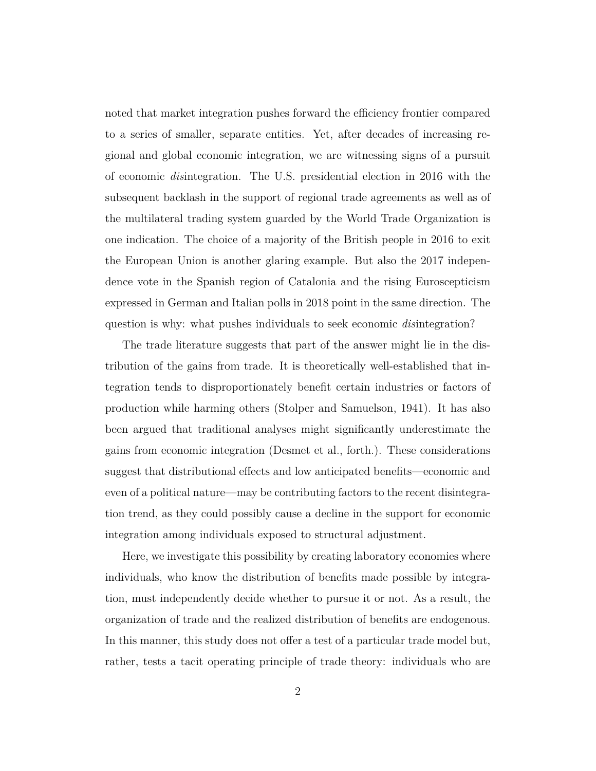noted that market integration pushes forward the efficiency frontier compared to a series of smaller, separate entities. Yet, after decades of increasing regional and global economic integration, we are witnessing signs of a pursuit of economic *dis*integration. The U.S. presidential election in 2016 with the subsequent backlash in the support of regional trade agreements as well as of the multilateral trading system guarded by the World Trade Organization is one indication. The choice of a majority of the British people in 2016 to exit the European Union is another glaring example. But also the 2017 independence vote in the Spanish region of Catalonia and the rising Euroscepticism expressed in German and Italian polls in 2018 point in the same direction. The question is why: what pushes individuals to seek economic *dis*integration?

The trade literature suggests that part of the answer might lie in the distribution of the gains from trade. It is theoretically well-established that integration tends to disproportionately benefit certain industries or factors of production while harming others (Stolper and Samuelson, 1941). It has also been argued that traditional analyses might significantly underestimate the gains from economic integration (Desmet et al., forth.). These considerations suggest that distributional effects and low anticipated benefits—economic and even of a political nature—may be contributing factors to the recent disintegration trend, as they could possibly cause a decline in the support for economic integration among individuals exposed to structural adjustment.

Here, we investigate this possibility by creating laboratory economies where individuals, who know the distribution of benefits made possible by integration, must independently decide whether to pursue it or not. As a result, the organization of trade and the realized distribution of benefits are endogenous. In this manner, this study does not offer a test of a particular trade model but, rather, tests a tacit operating principle of trade theory: individuals who are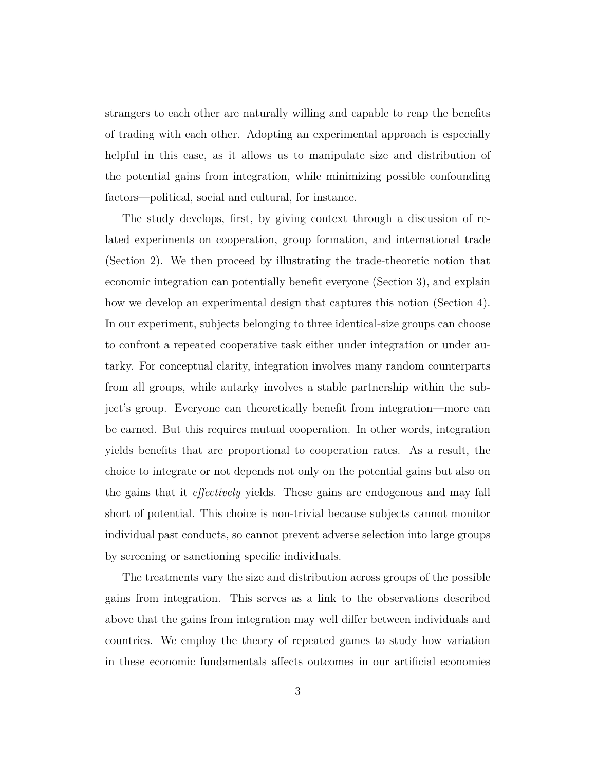strangers to each other are naturally willing and capable to reap the benefits of trading with each other. Adopting an experimental approach is especially helpful in this case, as it allows us to manipulate size and distribution of the potential gains from integration, while minimizing possible confounding factors—political, social and cultural, for instance.

The study develops, first, by giving context through a discussion of related experiments on cooperation, group formation, and international trade (Section 2). We then proceed by illustrating the trade-theoretic notion that economic integration can potentially benefit everyone (Section 3), and explain how we develop an experimental design that captures this notion (Section 4). In our experiment, subjects belonging to three identical-size groups can choose to confront a repeated cooperative task either under integration or under autarky. For conceptual clarity, integration involves many random counterparts from all groups, while autarky involves a stable partnership within the subject's group. Everyone can theoretically benefit from integration—more can be earned. But this requires mutual cooperation. In other words, integration yields benefits that are proportional to cooperation rates. As a result, the choice to integrate or not depends not only on the potential gains but also on the gains that it *effectively* yields. These gains are endogenous and may fall short of potential. This choice is non-trivial because subjects cannot monitor individual past conducts, so cannot prevent adverse selection into large groups by screening or sanctioning specific individuals.

The treatments vary the size and distribution across groups of the possible gains from integration. This serves as a link to the observations described above that the gains from integration may well differ between individuals and countries. We employ the theory of repeated games to study how variation in these economic fundamentals affects outcomes in our artificial economies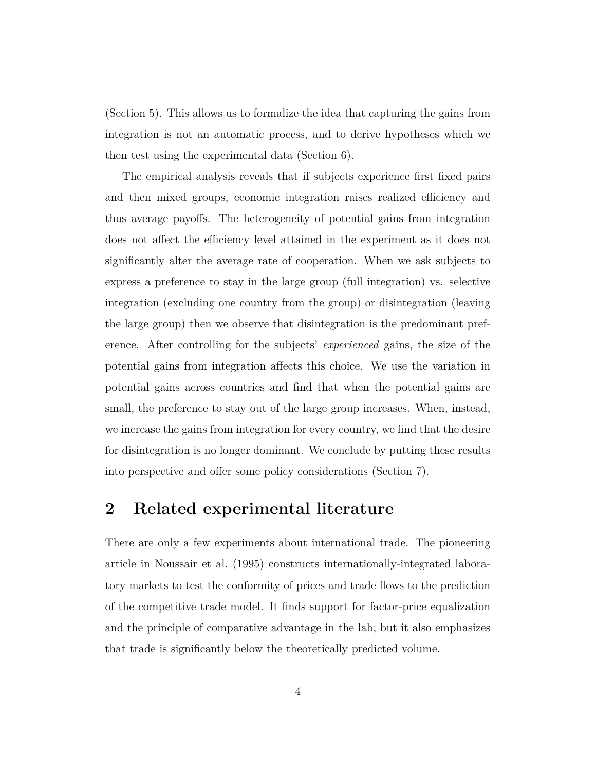(Section 5). This allows us to formalize the idea that capturing the gains from integration is not an automatic process, and to derive hypotheses which we then test using the experimental data (Section 6).

The empirical analysis reveals that if subjects experience first fixed pairs and then mixed groups, economic integration raises realized efficiency and thus average payoffs. The heterogeneity of potential gains from integration does not affect the efficiency level attained in the experiment as it does not significantly alter the average rate of cooperation. When we ask subjects to express a preference to stay in the large group (full integration) vs. selective integration (excluding one country from the group) or disintegration (leaving the large group) then we observe that disintegration is the predominant preference. After controlling for the subjects' *experienced* gains, the size of the potential gains from integration affects this choice. We use the variation in potential gains across countries and find that when the potential gains are small, the preference to stay out of the large group increases. When, instead, we increase the gains from integration for every country, we find that the desire for disintegration is no longer dominant. We conclude by putting these results into perspective and offer some policy considerations (Section 7).

### **2 Related experimental literature**

There are only a few experiments about international trade. The pioneering article in Noussair et al. (1995) constructs internationally-integrated laboratory markets to test the conformity of prices and trade flows to the prediction of the competitive trade model. It finds support for factor-price equalization and the principle of comparative advantage in the lab; but it also emphasizes that trade is significantly below the theoretically predicted volume.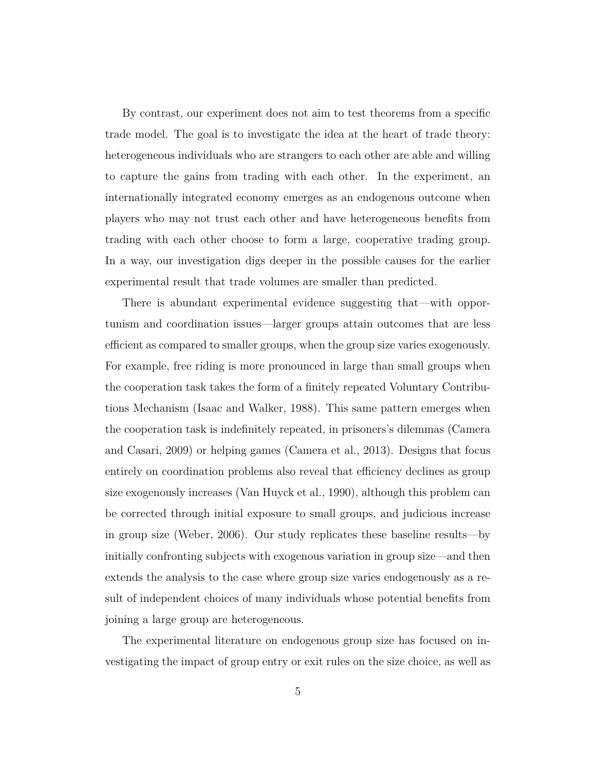By contrast, our experiment does not aim to test theorems from a specific trade model. The goal is to investigate the idea at the heart of trade theory: heterogeneous individuals who are strangers to each other are able and willing to capture the gains from trading with each other. In the experiment, an internationally integrated economy emerges as an endogenous outcome when players who may not trust each other and have heterogeneous benefits from trading with each other choose to form a large, cooperative trading group. In a way, our investigation digs deeper in the possible causes for the earlier experimental result that trade volumes are smaller than predicted.

There is abundant experimental evidence suggesting that—with opportunism and coordination issues—larger groups attain outcomes that are less efficient as compared to smaller groups, when the group size varies exogenously. For example, free riding is more pronounced in large than small groups when the cooperation task takes the form of a finitely repeated Voluntary Contributions Mechanism (Isaac and Walker, 1988). This same pattern emerges when the cooperation task is indefinitely repeated, in prisoners's dilemmas (Camera and Casari, 2009) or helping games (Camera et al., 2013). Designs that focus entirely on coordination problems also reveal that efficiency declines as group size exogenously increases (Van Huyck et al., 1990), although this problem can be corrected through initial exposure to small groups, and judicious increase in group size (Weber, 2006). Our study replicates these baseline results—by initially confronting subjects with exogenous variation in group size—and then extends the analysis to the case where group size varies endogenously as a result of independent choices of many individuals whose potential benefits from joining a large group are heterogeneous.

The experimental literature on endogenous group size has focused on investigating the impact of group entry or exit rules on the size choice, as well as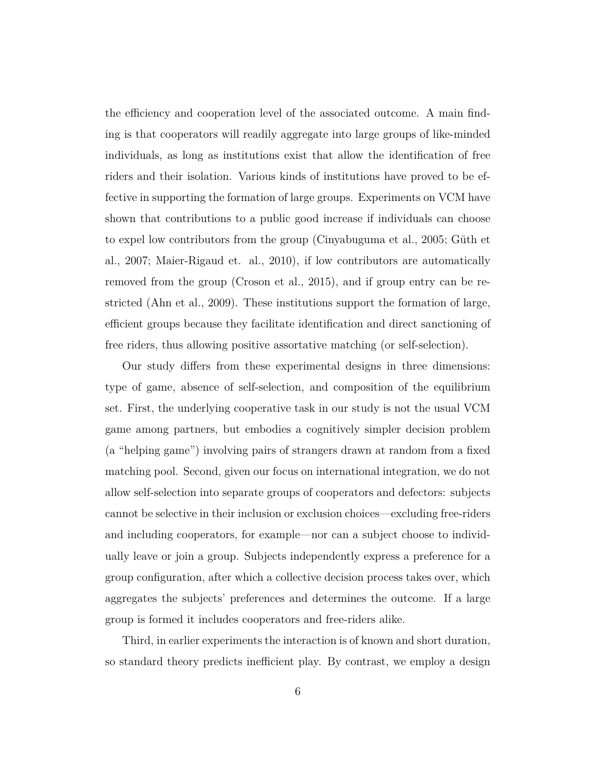the efficiency and cooperation level of the associated outcome. A main finding is that cooperators will readily aggregate into large groups of like-minded individuals, as long as institutions exist that allow the identification of free riders and their isolation. Various kinds of institutions have proved to be effective in supporting the formation of large groups. Experiments on VCM have shown that contributions to a public good increase if individuals can choose to expel low contributors from the group (Cinyabuguma et al., 2005; Güth et al., 2007; Maier-Rigaud et. al., 2010), if low contributors are automatically removed from the group (Croson et al., 2015), and if group entry can be restricted (Ahn et al., 2009). These institutions support the formation of large, efficient groups because they facilitate identification and direct sanctioning of free riders, thus allowing positive assortative matching (or self-selection).

Our study differs from these experimental designs in three dimensions: type of game, absence of self-selection, and composition of the equilibrium set. First, the underlying cooperative task in our study is not the usual VCM game among partners, but embodies a cognitively simpler decision problem (a "helping game") involving pairs of strangers drawn at random from a fixed matching pool. Second, given our focus on international integration, we do not allow self-selection into separate groups of cooperators and defectors: subjects cannot be selective in their inclusion or exclusion choices—excluding free-riders and including cooperators, for example—nor can a subject choose to individually leave or join a group. Subjects independently express a preference for a group configuration, after which a collective decision process takes over, which aggregates the subjects' preferences and determines the outcome. If a large group is formed it includes cooperators and free-riders alike.

Third, in earlier experiments the interaction is of known and short duration, so standard theory predicts inefficient play. By contrast, we employ a design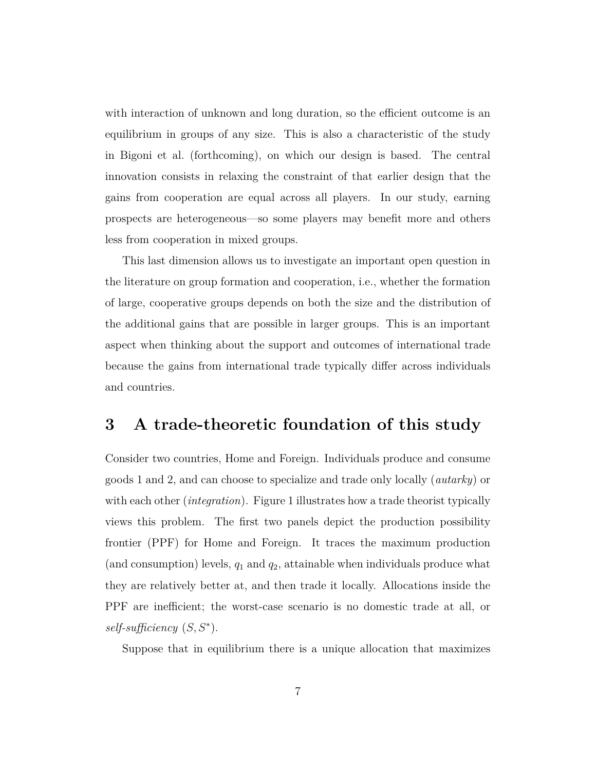with interaction of unknown and long duration, so the efficient outcome is an equilibrium in groups of any size. This is also a characteristic of the study in Bigoni et al. (forthcoming), on which our design is based. The central innovation consists in relaxing the constraint of that earlier design that the gains from cooperation are equal across all players. In our study, earning prospects are heterogeneous—so some players may benefit more and others less from cooperation in mixed groups.

This last dimension allows us to investigate an important open question in the literature on group formation and cooperation, i.e., whether the formation of large, cooperative groups depends on both the size and the distribution of the additional gains that are possible in larger groups. This is an important aspect when thinking about the support and outcomes of international trade because the gains from international trade typically differ across individuals and countries.

### **3 A trade-theoretic foundation of this study**

Consider two countries, Home and Foreign. Individuals produce and consume goods 1 and 2, and can choose to specialize and trade only locally (*autarky*) or with each other (*integration*). Figure 1 illustrates how a trade theorist typically views this problem. The first two panels depict the production possibility frontier (PPF) for Home and Foreign. It traces the maximum production (and consumption) levels, *q*<sup>1</sup> and *q*2, attainable when individuals produce what they are relatively better at, and then trade it locally. Allocations inside the PPF are inefficient; the worst-case scenario is no domestic trade at all, or *self-sufficiency* (*S, S*<sup>∗</sup> ).

Suppose that in equilibrium there is a unique allocation that maximizes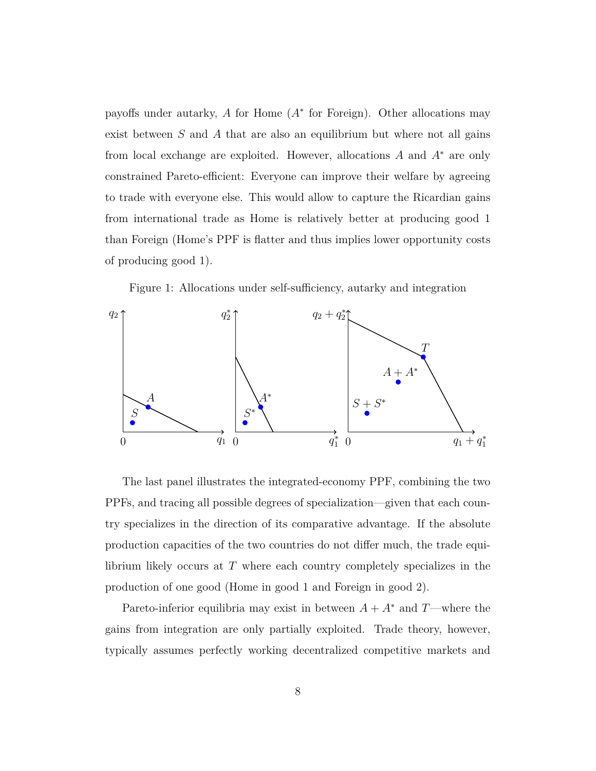payoffs under autarky, *A* for Home (*A*<sup>∗</sup> for Foreign). Other allocations may exist between *S* and *A* that are also an equilibrium but where not all gains from local exchange are exploited. However, allocations *A* and *A*<sup>∗</sup> are only constrained Pareto-efficient: Everyone can improve their welfare by agreeing to trade with everyone else. This would allow to capture the Ricardian gains from international trade as Home is relatively better at producing good 1 than Foreign (Home's PPF is flatter and thus implies lower opportunity costs of producing good 1).

Figure 1: Allocations under self-sufficiency, autarky and integration



The last panel illustrates the integrated-economy PPF, combining the two PPFs, and tracing all possible degrees of specialization—given that each country specializes in the direction of its comparative advantage. If the absolute production capacities of the two countries do not differ much, the trade equilibrium likely occurs at *T* where each country completely specializes in the production of one good (Home in good 1 and Foreign in good 2).

Pareto-inferior equilibria may exist in between  $A + A^*$  and  $T$ —where the gains from integration are only partially exploited. Trade theory, however, typically assumes perfectly working decentralized competitive markets and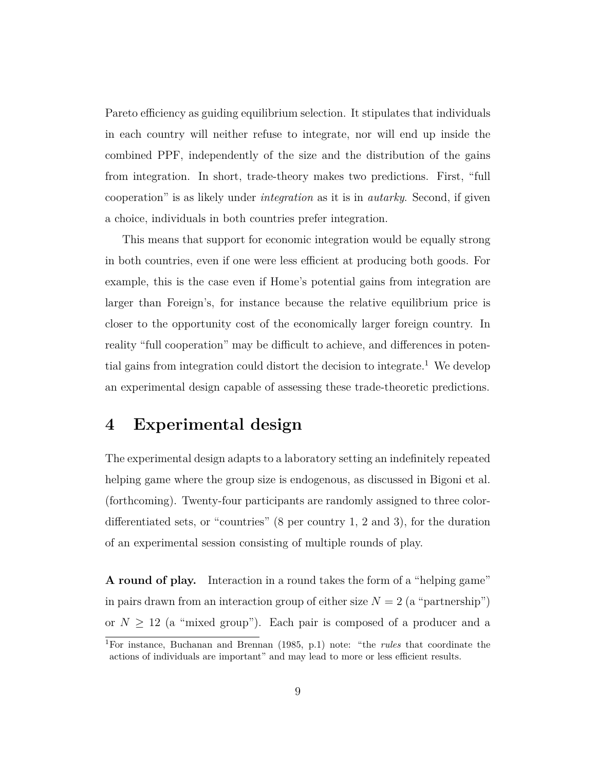Pareto efficiency as guiding equilibrium selection. It stipulates that individuals in each country will neither refuse to integrate, nor will end up inside the combined PPF, independently of the size and the distribution of the gains from integration. In short, trade-theory makes two predictions. First, "full cooperation" is as likely under *integration* as it is in *autarky*. Second, if given a choice, individuals in both countries prefer integration.

This means that support for economic integration would be equally strong in both countries, even if one were less efficient at producing both goods. For example, this is the case even if Home's potential gains from integration are larger than Foreign's, for instance because the relative equilibrium price is closer to the opportunity cost of the economically larger foreign country. In reality "full cooperation" may be difficult to achieve, and differences in potential gains from integration could distort the decision to integrate.<sup>1</sup> We develop an experimental design capable of assessing these trade-theoretic predictions.

### **4 Experimental design**

The experimental design adapts to a laboratory setting an indefinitely repeated helping game where the group size is endogenous, as discussed in Bigoni et al. (forthcoming). Twenty-four participants are randomly assigned to three colordifferentiated sets, or "countries" (8 per country 1, 2 and 3), for the duration of an experimental session consisting of multiple rounds of play.

**A round of play.** Interaction in a round takes the form of a "helping game" in pairs drawn from an interaction group of either size  $N = 2$  (a "partnership") or  $N \geq 12$  (a "mixed group"). Each pair is composed of a producer and a

<sup>1</sup>For instance, Buchanan and Brennan (1985, p.1) note: "the *rules* that coordinate the actions of individuals are important" and may lead to more or less efficient results.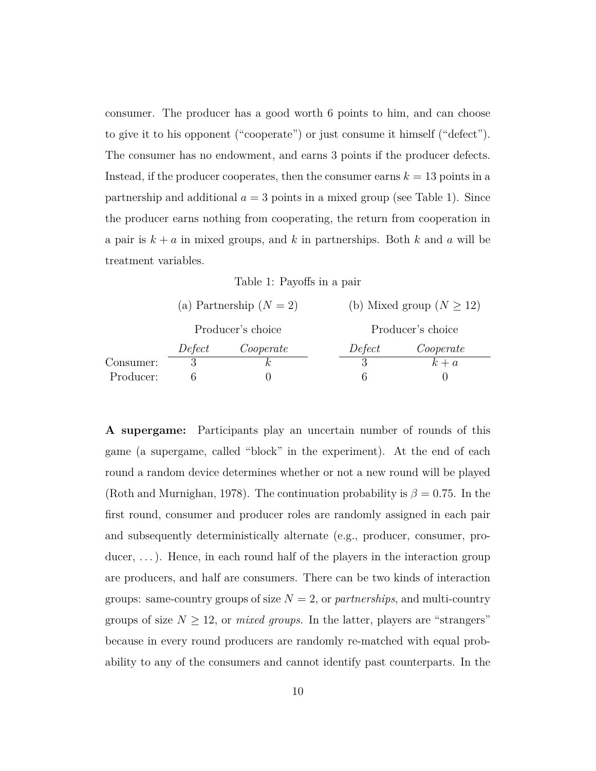consumer. The producer has a good worth 6 points to him, and can choose to give it to his opponent ("cooperate") or just consume it himself ("defect"). The consumer has no endowment, and earns 3 points if the producer defects. Instead, if the producer cooperates, then the consumer earns  $k = 13$  points in a partnership and additional  $a = 3$  points in a mixed group (see Table 1). Since the producer earns nothing from cooperating, the return from cooperation in a pair is  $k + a$  in mixed groups, and  $k$  in partnerships. Both  $k$  and  $a$  will be treatment variables.

Table 1: Payoffs in a pair

|           |        | (a) Partnership $(N = 2)$ |                   | (b) Mixed group ( $N \ge 12$ ) |  |  |  |
|-----------|--------|---------------------------|-------------------|--------------------------------|--|--|--|
|           |        | Producer's choice         | Producer's choice |                                |  |  |  |
|           | Defect | Cooperate                 | Defect            | Cooperate                      |  |  |  |
| Consumer: |        |                           |                   | $k + a$                        |  |  |  |
| Producer: |        |                           |                   |                                |  |  |  |

**A supergame:** Participants play an uncertain number of rounds of this game (a supergame, called "block" in the experiment). At the end of each round a random device determines whether or not a new round will be played (Roth and Murnighan, 1978). The continuation probability is  $\beta = 0.75$ . In the first round, consumer and producer roles are randomly assigned in each pair and subsequently deterministically alternate (e.g., producer, consumer, producer, ...). Hence, in each round half of the players in the interaction group are producers, and half are consumers. There can be two kinds of interaction groups: same-country groups of size  $N = 2$ , or *partnerships*, and multi-country groups of size  $N \geq 12$ , or *mixed groups*. In the latter, players are "strangers" because in every round producers are randomly re-matched with equal probability to any of the consumers and cannot identify past counterparts. In the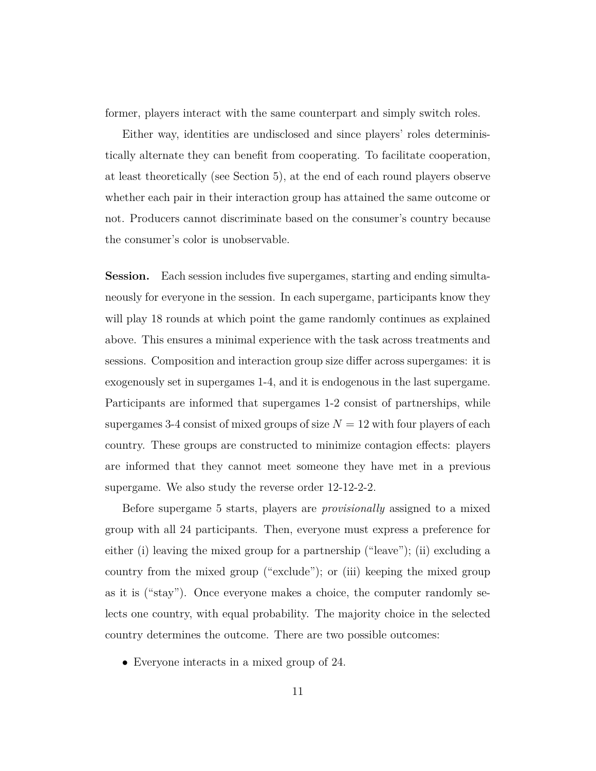former, players interact with the same counterpart and simply switch roles.

Either way, identities are undisclosed and since players' roles deterministically alternate they can benefit from cooperating. To facilitate cooperation, at least theoretically (see Section 5), at the end of each round players observe whether each pair in their interaction group has attained the same outcome or not. Producers cannot discriminate based on the consumer's country because the consumer's color is unobservable.

**Session.** Each session includes five supergames, starting and ending simultaneously for everyone in the session. In each supergame, participants know they will play 18 rounds at which point the game randomly continues as explained above. This ensures a minimal experience with the task across treatments and sessions. Composition and interaction group size differ across supergames: it is exogenously set in supergames 1-4, and it is endogenous in the last supergame. Participants are informed that supergames 1-2 consist of partnerships, while supergames 3-4 consist of mixed groups of size  $N = 12$  with four players of each country. These groups are constructed to minimize contagion effects: players are informed that they cannot meet someone they have met in a previous supergame. We also study the reverse order 12-12-2-2.

Before supergame 5 starts, players are *provisionally* assigned to a mixed group with all 24 participants. Then, everyone must express a preference for either (i) leaving the mixed group for a partnership ("leave"); (ii) excluding a country from the mixed group ("exclude"); or (iii) keeping the mixed group as it is ("stay"). Once everyone makes a choice, the computer randomly selects one country, with equal probability. The majority choice in the selected country determines the outcome. There are two possible outcomes:

• Everyone interacts in a mixed group of 24.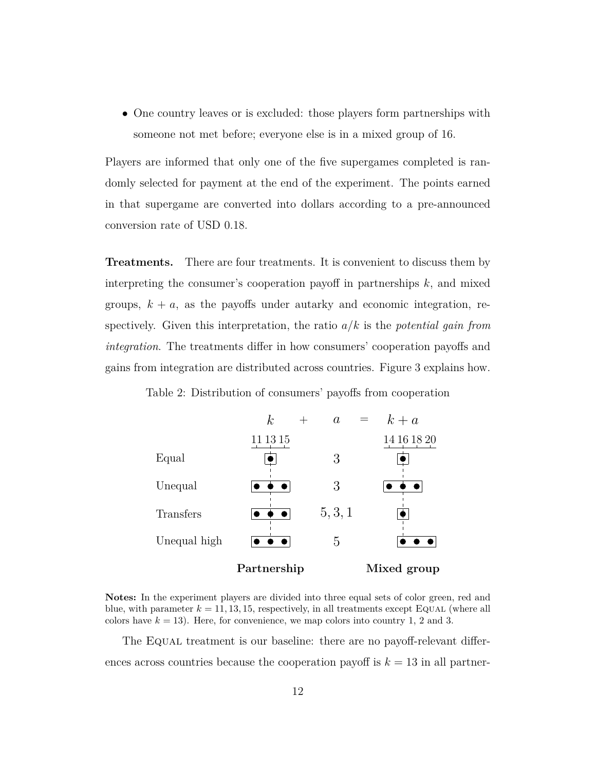• One country leaves or is excluded: those players form partnerships with someone not met before; everyone else is in a mixed group of 16.

Players are informed that only one of the five supergames completed is randomly selected for payment at the end of the experiment. The points earned in that supergame are converted into dollars according to a pre-announced conversion rate of USD 0.18.

**Treatments.** There are four treatments. It is convenient to discuss them by interpreting the consumer's cooperation payoff in partnerships *k*, and mixed groups,  $k + a$ , as the payoffs under autarky and economic integration, respectively. Given this interpretation, the ratio *a/k* is the *potential gain from integration*. The treatments differ in how consumers' cooperation payoffs and gains from integration are distributed across countries. Figure 3 explains how.

Table 2: Distribution of consumers' payoffs from cooperation



**Notes:** In the experiment players are divided into three equal sets of color green, red and blue, with parameter  $k = 11, 13, 15$ , respectively, in all treatments except EQUAL (where all colors have  $k = 13$ ). Here, for convenience, we map colors into country 1, 2 and 3.

The Equal treatment is our baseline: there are no payoff-relevant differences across countries because the cooperation payoff is  $k = 13$  in all partner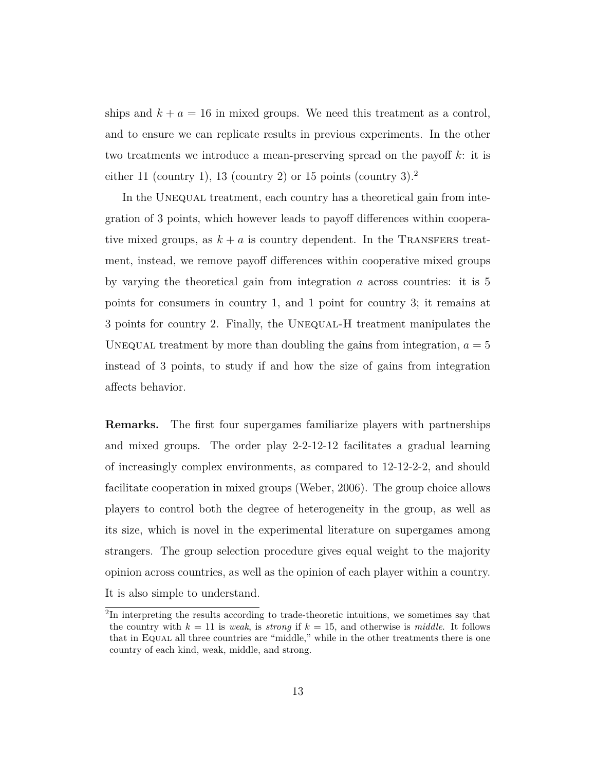ships and  $k + a = 16$  in mixed groups. We need this treatment as a control, and to ensure we can replicate results in previous experiments. In the other two treatments we introduce a mean-preserving spread on the payoff *k*: it is either 11 (country 1), 13 (country 2) or 15 points (country 3).<sup>2</sup>

In the UNEQUAL treatment, each country has a theoretical gain from integration of 3 points, which however leads to payoff differences within cooperative mixed groups, as  $k + a$  is country dependent. In the TRANSFERS treatment, instead, we remove payoff differences within cooperative mixed groups by varying the theoretical gain from integration *a* across countries: it is 5 points for consumers in country 1, and 1 point for country 3; it remains at 3 points for country 2. Finally, the Unequal-H treatment manipulates the UNEQUAL treatment by more than doubling the gains from integration,  $a = 5$ instead of 3 points, to study if and how the size of gains from integration affects behavior.

**Remarks.** The first four supergames familiarize players with partnerships and mixed groups. The order play 2-2-12-12 facilitates a gradual learning of increasingly complex environments, as compared to 12-12-2-2, and should facilitate cooperation in mixed groups (Weber, 2006). The group choice allows players to control both the degree of heterogeneity in the group, as well as its size, which is novel in the experimental literature on supergames among strangers. The group selection procedure gives equal weight to the majority opinion across countries, as well as the opinion of each player within a country. It is also simple to understand.

<sup>&</sup>lt;sup>2</sup>In interpreting the results according to trade-theoretic intuitions, we sometimes say that the country with  $k = 11$  is *weak*, is *strong* if  $k = 15$ , and otherwise is *middle*. It follows that in Equal all three countries are "middle," while in the other treatments there is one country of each kind, weak, middle, and strong.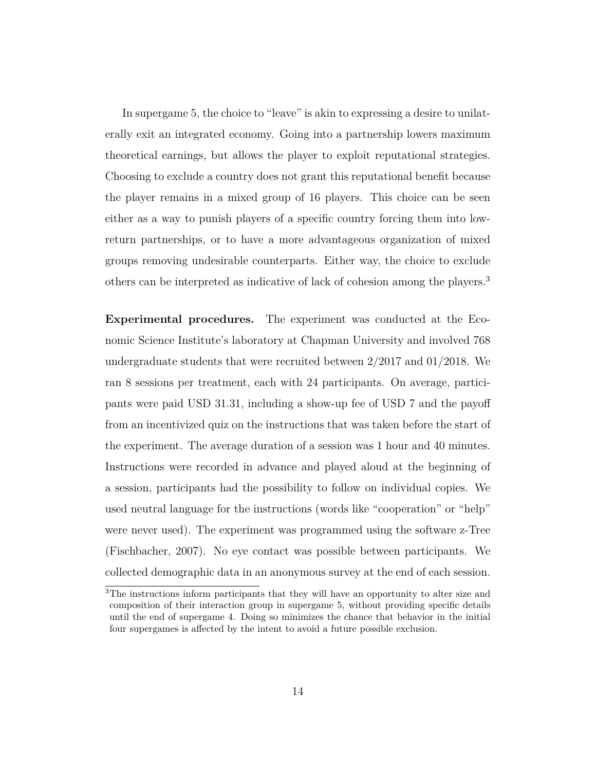In supergame 5, the choice to "leave" is akin to expressing a desire to unilaterally exit an integrated economy. Going into a partnership lowers maximum theoretical earnings, but allows the player to exploit reputational strategies. Choosing to exclude a country does not grant this reputational benefit because the player remains in a mixed group of 16 players. This choice can be seen either as a way to punish players of a specific country forcing them into lowreturn partnerships, or to have a more advantageous organization of mixed groups removing undesirable counterparts. Either way, the choice to exclude others can be interpreted as indicative of lack of cohesion among the players.<sup>3</sup>

**Experimental procedures.** The experiment was conducted at the Economic Science Institute's laboratory at Chapman University and involved 768 undergraduate students that were recruited between 2/2017 and 01/2018. We ran 8 sessions per treatment, each with 24 participants. On average, participants were paid USD 31.31, including a show-up fee of USD 7 and the payoff from an incentivized quiz on the instructions that was taken before the start of the experiment. The average duration of a session was 1 hour and 40 minutes. Instructions were recorded in advance and played aloud at the beginning of a session, participants had the possibility to follow on individual copies. We used neutral language for the instructions (words like "cooperation" or "help" were never used). The experiment was programmed using the software z-Tree (Fischbacher, 2007). No eye contact was possible between participants. We collected demographic data in an anonymous survey at the end of each session.

<sup>3</sup>The instructions inform participants that they will have an opportunity to alter size and composition of their interaction group in supergame 5, without providing specific details until the end of supergame 4. Doing so minimizes the chance that behavior in the initial four supergames is affected by the intent to avoid a future possible exclusion.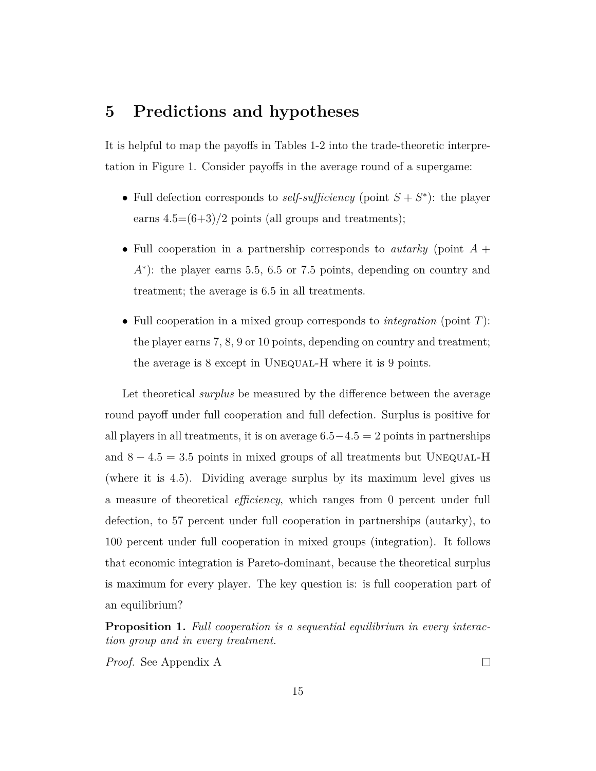### **5 Predictions and hypotheses**

It is helpful to map the payoffs in Tables 1-2 into the trade-theoretic interpretation in Figure 1. Consider payoffs in the average round of a supergame:

- Full defection corresponds to *self-sufficiency* (point  $S + S^*$ ): the player earns  $4.5=(6+3)/2$  points (all groups and treatments);
- Full cooperation in a partnership corresponds to *autarky* (point *A* + *A*<sup>∗</sup>): the player earns 5.5, 6.5 or 7.5 points, depending on country and treatment; the average is 6.5 in all treatments.
- Full cooperation in a mixed group corresponds to *integration* (point *T*): the player earns 7, 8, 9 or 10 points, depending on country and treatment; the average is 8 except in UNEQUAL-H where it is 9 points.

Let theoretical *surplus* be measured by the difference between the average round payoff under full cooperation and full defection. Surplus is positive for all players in all treatments, it is on average 6*.*5−4*.*5 = 2 points in partnerships and  $8 - 4.5 = 3.5$  points in mixed groups of all treatments but UNEQUAL-H (where it is 4.5). Dividing average surplus by its maximum level gives us a measure of theoretical *efficiency*, which ranges from 0 percent under full defection, to 57 percent under full cooperation in partnerships (autarky), to 100 percent under full cooperation in mixed groups (integration). It follows that economic integration is Pareto-dominant, because the theoretical surplus is maximum for every player. The key question is: is full cooperation part of an equilibrium?

**Proposition 1.** *Full cooperation is a sequential equilibrium in every interaction group and in every treatment.*

*Proof.* See Appendix A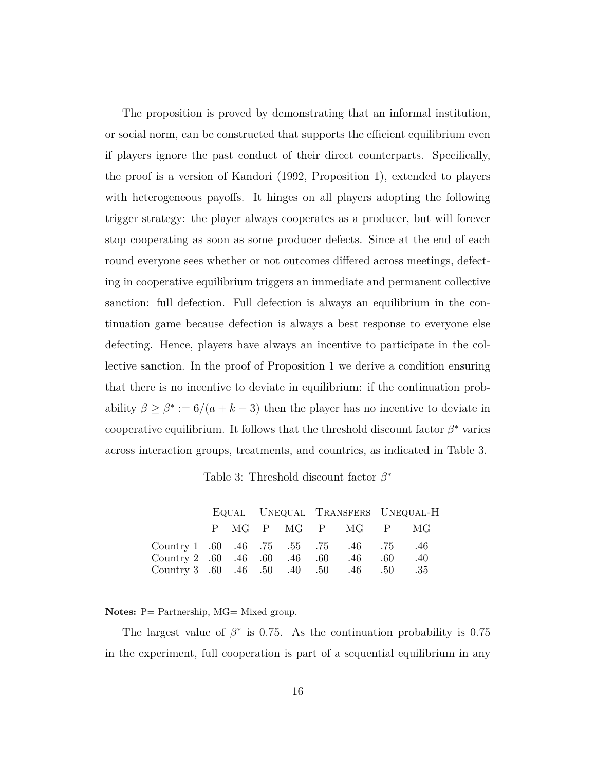The proposition is proved by demonstrating that an informal institution, or social norm, can be constructed that supports the efficient equilibrium even if players ignore the past conduct of their direct counterparts. Specifically, the proof is a version of Kandori (1992, Proposition 1), extended to players with heterogeneous payoffs. It hinges on all players adopting the following trigger strategy: the player always cooperates as a producer, but will forever stop cooperating as soon as some producer defects. Since at the end of each round everyone sees whether or not outcomes differed across meetings, defecting in cooperative equilibrium triggers an immediate and permanent collective sanction: full defection. Full defection is always an equilibrium in the continuation game because defection is always a best response to everyone else defecting. Hence, players have always an incentive to participate in the collective sanction. In the proof of Proposition 1 we derive a condition ensuring that there is no incentive to deviate in equilibrium: if the continuation probability  $\beta \geq \beta^* := 6/(a + k - 3)$  then the player has no incentive to deviate in cooperative equilibrium. It follows that the threshold discount factor  $\beta^*$  varies across interaction groups, treatments, and countries, as indicated in Table 3.

Table 3: Threshold discount factor *β* ∗

|                                           |  |  |  |  |  |                  | EQUAL UNEQUAL TRANSFERS UNEQUAL-H |     |
|-------------------------------------------|--|--|--|--|--|------------------|-----------------------------------|-----|
|                                           |  |  |  |  |  | P MG P MG P MG P |                                   | MG  |
| 75. 46. 75. 55. 55. 56. 60. Country 1 .60 |  |  |  |  |  |                  |                                   | .46 |
| Country 2 .60 .46 .60 .46 .60             |  |  |  |  |  | .46              | .60                               | .40 |
| Country 3 .60 .46 .50 .40 .50 .46         |  |  |  |  |  |                  | .50                               | -35 |

Notes: P= Partnership, MG= Mixed group.

The largest value of  $\beta^*$  is 0.75. As the continuation probability is 0.75 in the experiment, full cooperation is part of a sequential equilibrium in any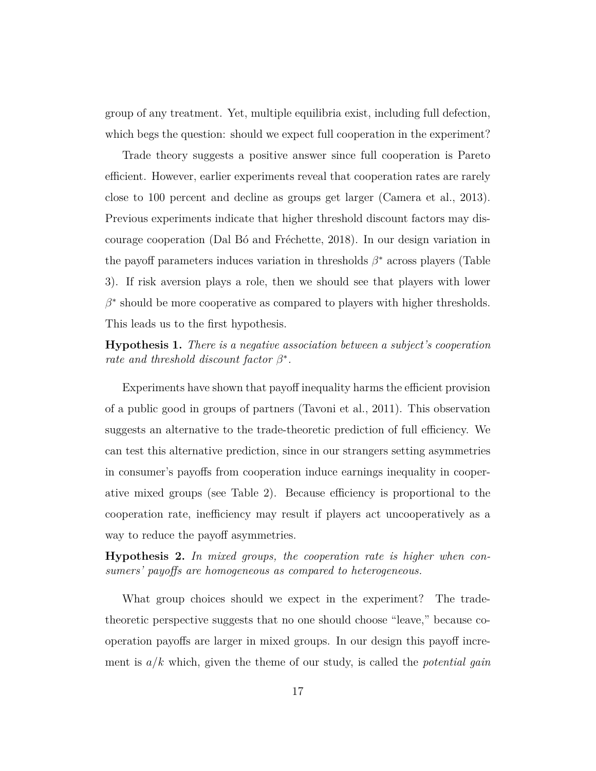group of any treatment. Yet, multiple equilibria exist, including full defection, which begs the question: should we expect full cooperation in the experiment?

Trade theory suggests a positive answer since full cooperation is Pareto efficient. However, earlier experiments reveal that cooperation rates are rarely close to 100 percent and decline as groups get larger (Camera et al., 2013). Previous experiments indicate that higher threshold discount factors may discourage cooperation (Dal Bó and Fréchette, 2018). In our design variation in the payoff parameters induces variation in thresholds *β* <sup>∗</sup> across players (Table 3). If risk aversion plays a role, then we should see that players with lower  $\beta^*$  should be more cooperative as compared to players with higher thresholds. This leads us to the first hypothesis.

**Hypothesis 1.** *There is a negative association between a subject's cooperation rate and threshold discount factor*  $\beta^*$ *.* 

Experiments have shown that payoff inequality harms the efficient provision of a public good in groups of partners (Tavoni et al., 2011). This observation suggests an alternative to the trade-theoretic prediction of full efficiency. We can test this alternative prediction, since in our strangers setting asymmetries in consumer's payoffs from cooperation induce earnings inequality in cooperative mixed groups (see Table 2). Because efficiency is proportional to the cooperation rate, inefficiency may result if players act uncooperatively as a way to reduce the payoff asymmetries.

**Hypothesis 2.** *In mixed groups, the cooperation rate is higher when consumers' payoffs are homogeneous as compared to heterogeneous.*

What group choices should we expect in the experiment? The tradetheoretic perspective suggests that no one should choose "leave," because cooperation payoffs are larger in mixed groups. In our design this payoff increment is *a/k* which, given the theme of our study, is called the *potential gain*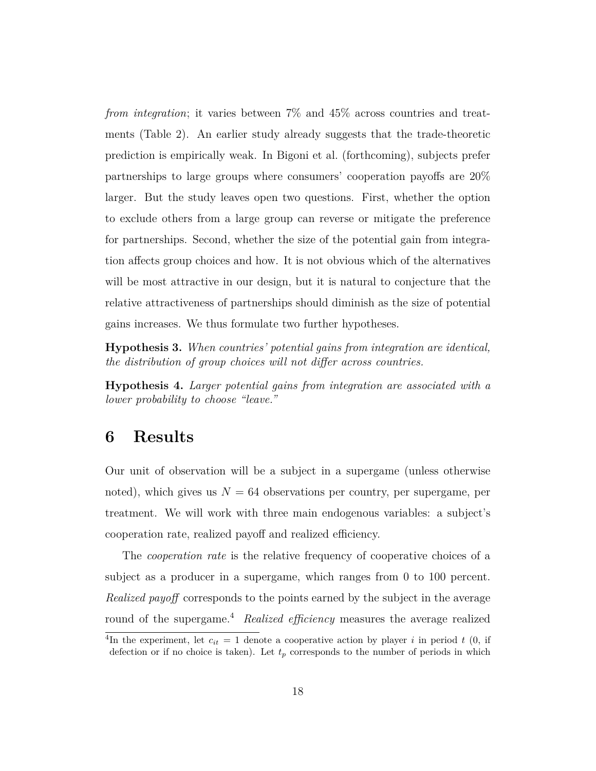*from integration*; it varies between 7% and 45% across countries and treatments (Table 2). An earlier study already suggests that the trade-theoretic prediction is empirically weak. In Bigoni et al. (forthcoming), subjects prefer partnerships to large groups where consumers' cooperation payoffs are 20% larger. But the study leaves open two questions. First, whether the option to exclude others from a large group can reverse or mitigate the preference for partnerships. Second, whether the size of the potential gain from integration affects group choices and how. It is not obvious which of the alternatives will be most attractive in our design, but it is natural to conjecture that the relative attractiveness of partnerships should diminish as the size of potential gains increases. We thus formulate two further hypotheses.

**Hypothesis 3.** *When countries' potential gains from integration are identical, the distribution of group choices will not differ across countries.*

**Hypothesis 4.** *Larger potential gains from integration are associated with a lower probability to choose "leave."*

### **6 Results**

Our unit of observation will be a subject in a supergame (unless otherwise noted), which gives us  $N = 64$  observations per country, per supergame, per treatment. We will work with three main endogenous variables: a subject's cooperation rate, realized payoff and realized efficiency.

The *cooperation rate* is the relative frequency of cooperative choices of a subject as a producer in a supergame, which ranges from 0 to 100 percent. *Realized payoff* corresponds to the points earned by the subject in the average round of the supergame.<sup>4</sup> *Realized efficiency* measures the average realized

<sup>&</sup>lt;sup>4</sup>In the experiment, let  $c_{it} = 1$  denote a cooperative action by player *i* in period *t* (0, if defection or if no choice is taken). Let  $t_p$  corresponds to the number of periods in which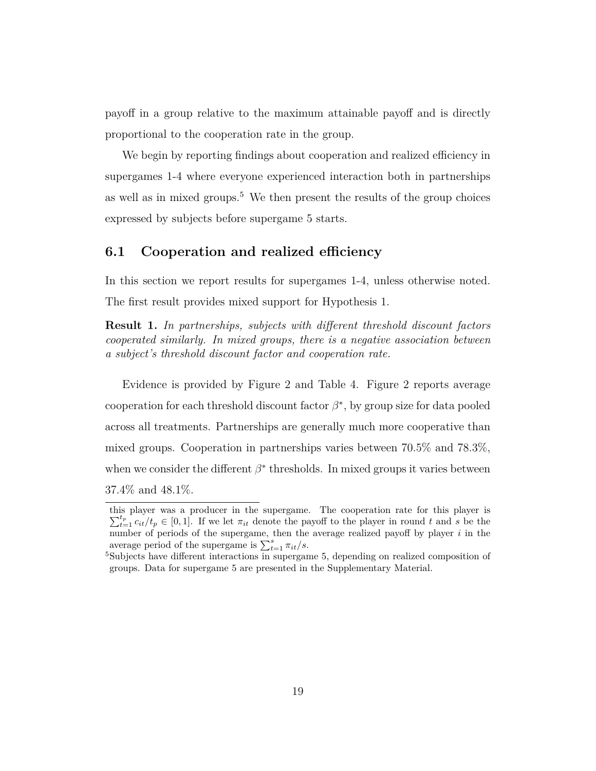payoff in a group relative to the maximum attainable payoff and is directly proportional to the cooperation rate in the group.

We begin by reporting findings about cooperation and realized efficiency in supergames 1-4 where everyone experienced interaction both in partnerships as well as in mixed groups.<sup>5</sup> We then present the results of the group choices expressed by subjects before supergame 5 starts.

### **6.1 Cooperation and realized efficiency**

In this section we report results for supergames 1-4, unless otherwise noted. The first result provides mixed support for Hypothesis 1.

**Result 1.** *In partnerships, subjects with different threshold discount factors cooperated similarly. In mixed groups, there is a negative association between a subject's threshold discount factor and cooperation rate.*

Evidence is provided by Figure 2 and Table 4. Figure 2 reports average cooperation for each threshold discount factor  $\beta^*$ , by group size for data pooled across all treatments. Partnerships are generally much more cooperative than mixed groups. Cooperation in partnerships varies between 70.5% and 78.3%, when we consider the different  $\beta^*$  thresholds. In mixed groups it varies between 37.4% and 48.1%.

this player was a producer in the supergame. The cooperation rate for this player is  $\sum_{t=1}^{t_p} c_{it}/t_p \in [0,1]$ . If we let  $\pi_{it}$  denote the payoff to the player in round *t* and *s* be the number of periods of the supergame, then the average realized payoff by player *i* in the average period of the supergame is  $\sum_{t=1}^{s} \pi_{it}/s$ .

<sup>5</sup>Subjects have different interactions in supergame 5, depending on realized composition of groups. Data for supergame 5 are presented in the Supplementary Material.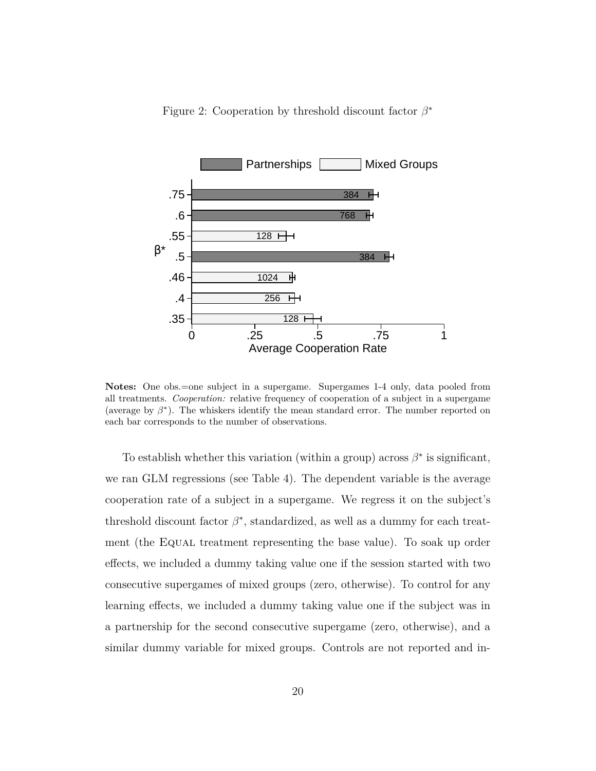



**Notes:** One obs.=one subject in a supergame. Supergames 1-4 only, data pooled from all treatments. *Cooperation:* relative frequency of cooperation of a subject in a supergame (average by  $\beta^*$ ). The whiskers identify the mean standard error. The number reported on each bar corresponds to the number of observations.

To establish whether this variation (within a group) across  $\beta^*$  is significant, we ran GLM regressions (see Table 4). The dependent variable is the average cooperation rate of a subject in a supergame. We regress it on the subject's threshold discount factor  $\beta^*$ , standardized, as well as a dummy for each treatment (the EQUAL treatment representing the base value). To soak up order effects, we included a dummy taking value one if the session started with two consecutive supergames of mixed groups (zero, otherwise). To control for any learning effects, we included a dummy taking value one if the subject was in a partnership for the second consecutive supergame (zero, otherwise), and a similar dummy variable for mixed groups. Controls are not reported and in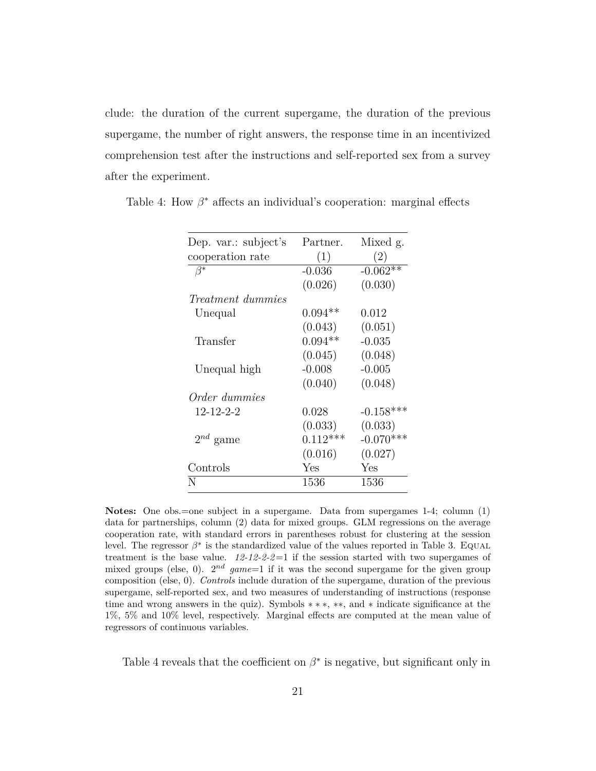clude: the duration of the current supergame, the duration of the previous supergame, the number of right answers, the response time in an incentivized comprehension test after the instructions and self-reported sex from a survey after the experiment.

| Dep. var.: subject's     | Partner.   | Mixed g.    |
|--------------------------|------------|-------------|
| cooperation rate         | (1)        | (2)         |
| $\beta^*$                | $-0.036$   | $-0.062**$  |
|                          | (0.026)    | (0.030)     |
| <i>Treatment dummies</i> |            |             |
| Unequal                  | $0.094**$  | 0.012       |
|                          | (0.043)    | (0.051)     |
| Transfer                 | $0.094**$  | $-0.035$    |
|                          | (0.045)    | (0.048)     |
| Unequal high             | $-0.008$   | $-0.005$    |
|                          | (0.040)    | (0.048)     |
| Order dummies            |            |             |
| 12-12-2-2                | 0.028      | $-0.158***$ |
|                          | (0.033)    | (0.033)     |
| $2^{nd}$ game            | $0.112***$ | $-0.070***$ |
|                          | (0.016)    | (0.027)     |
| Controls                 | Yes        | Yes         |
| N                        | 1536       | 1536        |

Table 4: How  $\beta^*$  affects an individual's cooperation: marginal effects

**Notes:** One obs.=one subject in a supergame. Data from supergames 1-4; column (1) data for partnerships, column (2) data for mixed groups. GLM regressions on the average cooperation rate, with standard errors in parentheses robust for clustering at the session level. The regressor  $\beta^*$  is the standardized value of the values reported in Table 3. EQUAL treatment is the base value. *12-12-2-2*=1 if the session started with two supergames of mixed groups (else, 0).  $2^{nd}$   $game=1$  if it was the second supergame for the given group composition (else, 0). *Controls* include duration of the supergame, duration of the previous supergame, self-reported sex, and two measures of understanding of instructions (response time and wrong answers in the quiz). Symbols ∗ ∗ ∗, ∗∗, and ∗ indicate significance at the 1%, 5% and 10% level, respectively. Marginal effects are computed at the mean value of regressors of continuous variables.

Table 4 reveals that the coefficient on  $\beta^*$  is negative, but significant only in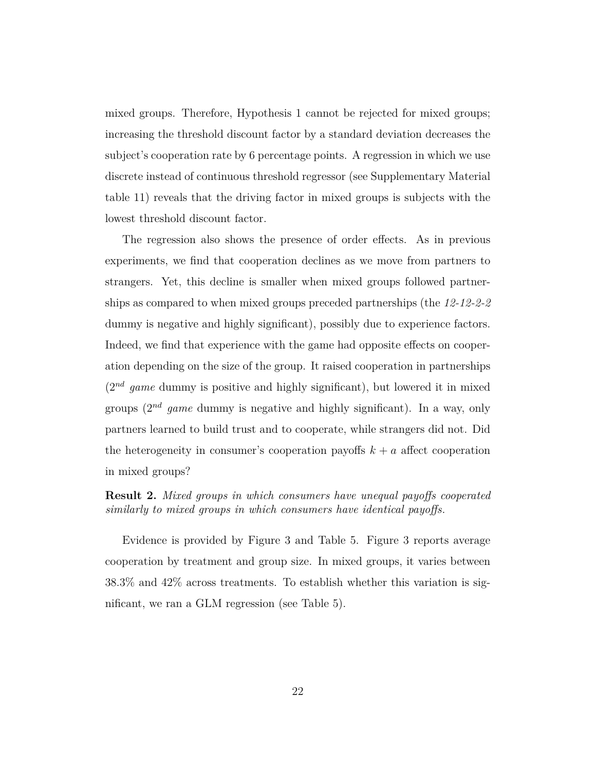mixed groups. Therefore, Hypothesis 1 cannot be rejected for mixed groups; increasing the threshold discount factor by a standard deviation decreases the subject's cooperation rate by 6 percentage points. A regression in which we use discrete instead of continuous threshold regressor (see Supplementary Material table 11) reveals that the driving factor in mixed groups is subjects with the lowest threshold discount factor.

The regression also shows the presence of order effects. As in previous experiments, we find that cooperation declines as we move from partners to strangers. Yet, this decline is smaller when mixed groups followed partnerships as compared to when mixed groups preceded partnerships (the *12-12-2-2* dummy is negative and highly significant), possibly due to experience factors. Indeed, we find that experience with the game had opposite effects on cooperation depending on the size of the group. It raised cooperation in partnerships  $(2^{nd}$  game dummy is positive and highly significant), but lowered it in mixed groups (2*nd game* dummy is negative and highly significant). In a way, only partners learned to build trust and to cooperate, while strangers did not. Did the heterogeneity in consumer's cooperation payoffs  $k + a$  affect cooperation in mixed groups?

#### **Result 2.** *Mixed groups in which consumers have unequal payoffs cooperated similarly to mixed groups in which consumers have identical payoffs.*

Evidence is provided by Figure 3 and Table 5. Figure 3 reports average cooperation by treatment and group size. In mixed groups, it varies between 38.3% and 42% across treatments. To establish whether this variation is significant, we ran a GLM regression (see Table 5).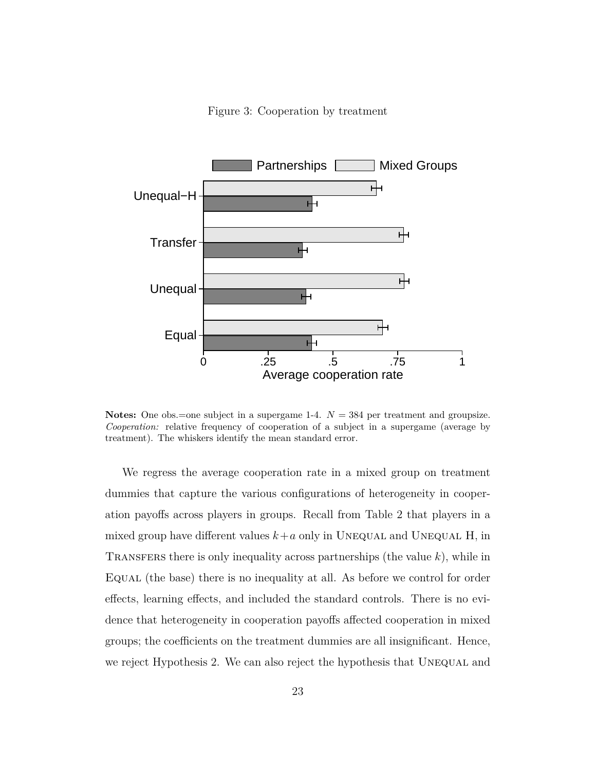Figure 3: Cooperation by treatment



**Notes:** One obs.=one subject in a supergame 1-4.  $N = 384$  per treatment and groupsize. *Cooperation:* relative frequency of cooperation of a subject in a supergame (average by treatment). The whiskers identify the mean standard error.

We regress the average cooperation rate in a mixed group on treatment dummies that capture the various configurations of heterogeneity in cooperation payoffs across players in groups. Recall from Table 2 that players in a mixed group have different values  $k+a$  only in UNEQUAL and UNEQUAL H, in Transfers there is only inequality across partnerships (the value *k*), while in EQUAL (the base) there is no inequality at all. As before we control for order effects, learning effects, and included the standard controls. There is no evidence that heterogeneity in cooperation payoffs affected cooperation in mixed groups; the coefficients on the treatment dummies are all insignificant. Hence, we reject Hypothesis 2. We can also reject the hypothesis that UNEQUAL and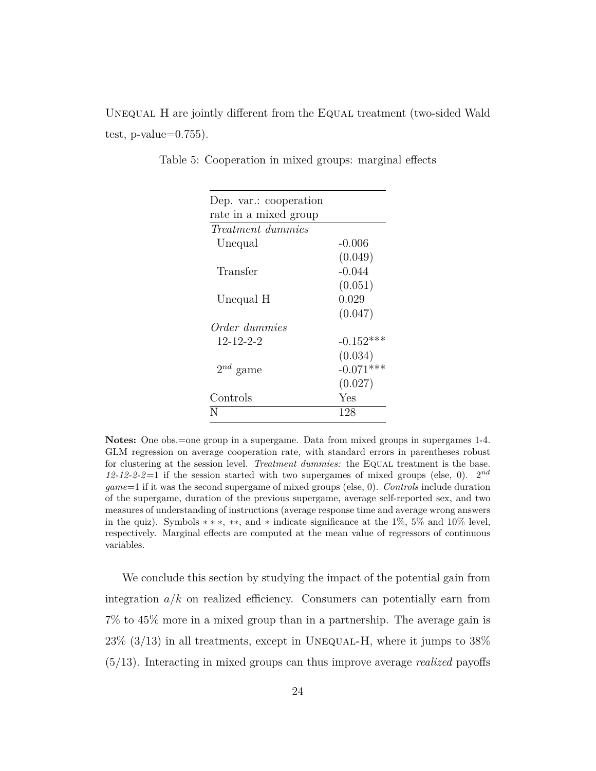UNEQUAL H are jointly different from the EQUAL treatment (two-sided Wald test, p-value= $0.755$ ).

| Dep. var.: cooperation   |             |
|--------------------------|-------------|
| rate in a mixed group    |             |
| <i>Treatment dummies</i> |             |
| Unequal                  | $-0.006$    |
|                          | (0.049)     |
| Transfer                 | $-0.044$    |
|                          | (0.051)     |
| Unequal H                | 0.029       |
|                          | (0.047)     |
| Order dummies            |             |
| 12-12-2-2                | $-0.152***$ |
|                          | (0.034)     |
| $2^{nd}$ game            | $-0.071***$ |
|                          | (0.027)     |
| $\rm{Controls}$          | Yes         |
| N                        | 128         |

Table 5: Cooperation in mixed groups: marginal effects

**Notes:** One obs.=one group in a supergame. Data from mixed groups in supergames 1-4. GLM regression on average cooperation rate, with standard errors in parentheses robust for clustering at the session level. *Treatment dummies:* the EQUAL treatment is the base. *12-12-2-2*=1 if the session started with two supergames of mixed groups (else, 0). 2*nd game*=1 if it was the second supergame of mixed groups (else, 0). *Controls* include duration of the supergame, duration of the previous supergame, average self-reported sex, and two measures of understanding of instructions (average response time and average wrong answers in the quiz). Symbols  $**$ , \*\*, and \* indicate significance at the 1%, 5% and 10% level, respectively. Marginal effects are computed at the mean value of regressors of continuous variables.

We conclude this section by studying the impact of the potential gain from integration  $a/k$  on realized efficiency. Consumers can potentially earn from 7% to 45% more in a mixed group than in a partnership. The average gain is  $23\%$  (3/13) in all treatments, except in UNEQUAL-H, where it jumps to  $38\%$ (5/13). Interacting in mixed groups can thus improve average *realized* payoffs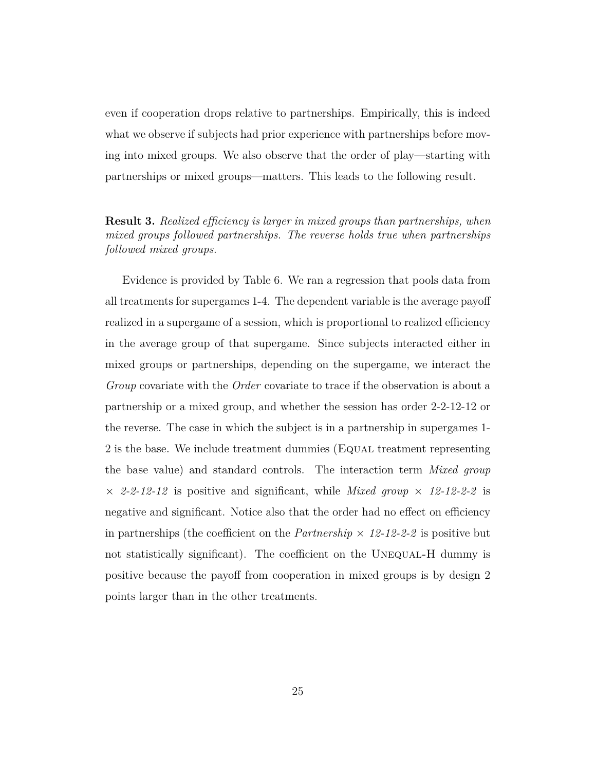even if cooperation drops relative to partnerships. Empirically, this is indeed what we observe if subjects had prior experience with partnerships before moving into mixed groups. We also observe that the order of play—starting with partnerships or mixed groups—matters. This leads to the following result.

#### **Result 3.** *Realized efficiency is larger in mixed groups than partnerships, when mixed groups followed partnerships. The reverse holds true when partnerships followed mixed groups.*

Evidence is provided by Table 6. We ran a regression that pools data from all treatments for supergames 1-4. The dependent variable is the average payoff realized in a supergame of a session, which is proportional to realized efficiency in the average group of that supergame. Since subjects interacted either in mixed groups or partnerships, depending on the supergame, we interact the *Group* covariate with the *Order* covariate to trace if the observation is about a partnership or a mixed group, and whether the session has order 2-2-12-12 or the reverse. The case in which the subject is in a partnership in supergames 1- 2 is the base. We include treatment dummies (Equal treatment representing the base value) and standard controls. The interaction term *Mixed group*  $\times$  2-2-12-12 is positive and significant, while *Mixed group*  $\times$  12-12-2-2 is negative and significant. Notice also that the order had no effect on efficiency in partnerships (the coefficient on the  $\text{Partnership} \times 12{\text -}12{\text -}2{\text -}2$  is positive but not statistically significant). The coefficient on the UNEQUAL-H dummy is positive because the payoff from cooperation in mixed groups is by design 2 points larger than in the other treatments.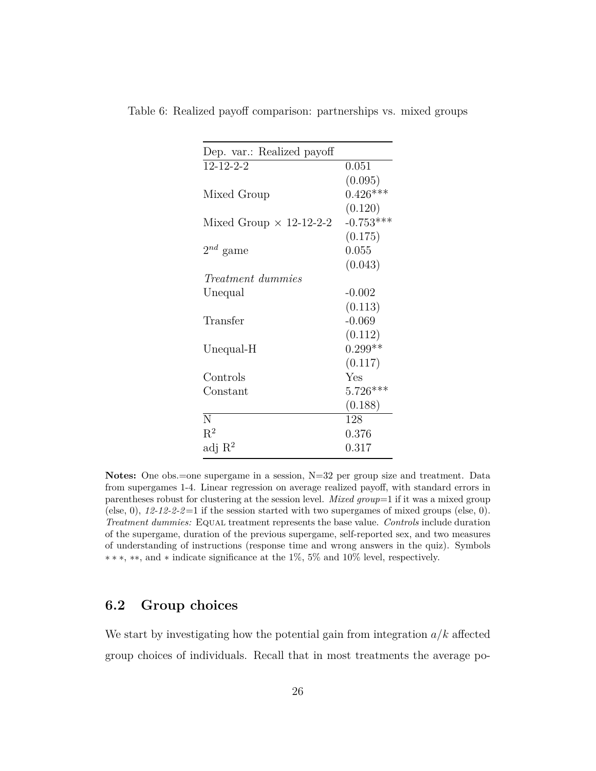| Dep. var.: Realized payoff     |             |
|--------------------------------|-------------|
| $12 - 12 - 2 - 2$              | 0.051       |
|                                | (0.095)     |
| Mixed Group                    | $0.426***$  |
|                                | (0.120)     |
| Mixed Group $\times$ 12-12-2-2 | $-0.753***$ |
|                                | (0.175)     |
| $2^{nd}$ game                  | 0.055       |
|                                | (0.043)     |
| <i>Treatment dummies</i>       |             |
| Unequal                        | $-0.002$    |
|                                | (0.113)     |
| Transfer                       | $-0.069$    |
|                                | (0.112)     |
| Unequal-H                      | $0.299**$   |
|                                | (0.117)     |
| Controls                       | Yes         |
| Constant                       | $5.726***$  |
|                                | (0.188)     |
| N                              | 128         |
| $R^2$                          | 0.376       |
| adj $R^2$                      | 0.317       |
|                                |             |

Table 6: Realized payoff comparison: partnerships vs. mixed groups

Notes: One obs.=one supergame in a session, N=32 per group size and treatment. Data from supergames 1-4. Linear regression on average realized payoff, with standard errors in parentheses robust for clustering at the session level. *Mixed group*=1 if it was a mixed group (else, 0),  $12-12-2-2=1$  if the session started with two supergames of mixed groups (else, 0). *Treatment dummies:* Equal treatment represents the base value. *Controls* include duration of the supergame, duration of the previous supergame, self-reported sex, and two measures of understanding of instructions (response time and wrong answers in the quiz). Symbols ∗ ∗ ∗, ∗∗, and ∗ indicate significance at the 1%, 5% and 10% level, respectively.

#### **6.2 Group choices**

We start by investigating how the potential gain from integration *a/k* affected group choices of individuals. Recall that in most treatments the average po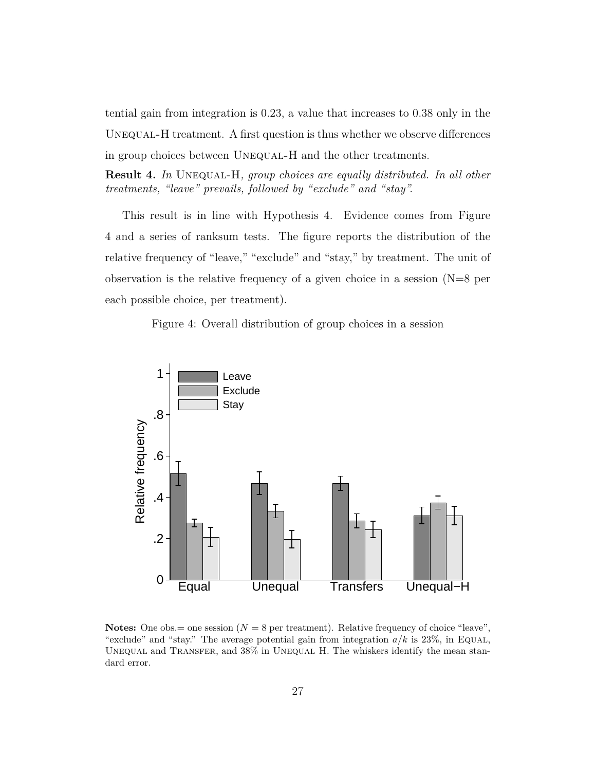tential gain from integration is 0.23, a value that increases to 0.38 only in the UNEQUAL-H treatment. A first question is thus whether we observe differences in group choices between UNEQUAL-H and the other treatments.

**Result 4.** *In* Unequal-H*, group choices are equally distributed. In all other treatments, "leave" prevails, followed by "exclude" and "stay".*

This result is in line with Hypothesis 4. Evidence comes from Figure 4 and a series of ranksum tests. The figure reports the distribution of the relative frequency of "leave," "exclude" and "stay," by treatment. The unit of observation is the relative frequency of a given choice in a session  $(N=8$  per each possible choice, per treatment).

Figure 4: Overall distribution of group choices in a session



**Notes:** One obs.  $=$  one session ( $N = 8$  per treatment). Relative frequency of choice "leave", "exclude" and "stay." The average potential gain from integration  $a/k$  is 23%, in Equal, UNEQUAL and TRANSFER, and  $38\%$  in UNEQUAL H. The whiskers identify the mean standard error.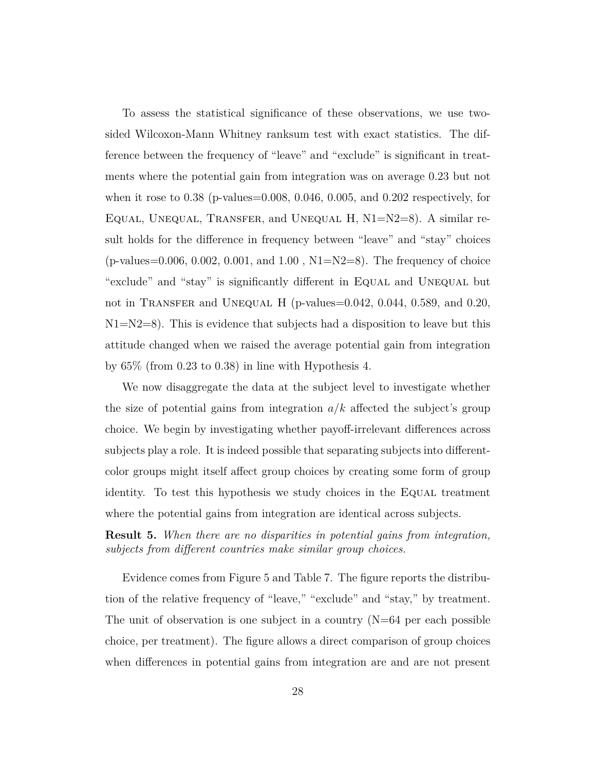To assess the statistical significance of these observations, we use twosided Wilcoxon-Mann Whitney ranksum test with exact statistics. The difference between the frequency of "leave" and "exclude" is significant in treatments where the potential gain from integration was on average 0.23 but not when it rose to 0.38 (p-values=0.008, 0.046, 0.005, and 0.202 respectively, for Equal, Unequal, Transfer, and Unequal H, N1=N2=8). A similar result holds for the difference in frequency between "leave" and "stay" choices  $(p$ -values=0.006, 0.002, 0.001, and 1.00, N1=N2=8). The frequency of choice "exclude" and "stay" is significantly different in Equal and Unequal but not in TRANSFER and UNEQUAL H (p-values=0.042, 0.044, 0.589, and 0.20,  $N1=N2=8$ ). This is evidence that subjects had a disposition to leave but this attitude changed when we raised the average potential gain from integration by 65% (from 0.23 to 0.38) in line with Hypothesis 4.

We now disaggregate the data at the subject level to investigate whether the size of potential gains from integration *a/k* affected the subject's group choice. We begin by investigating whether payoff-irrelevant differences across subjects play a role. It is indeed possible that separating subjects into differentcolor groups might itself affect group choices by creating some form of group identity. To test this hypothesis we study choices in the EQUAL treatment where the potential gains from integration are identical across subjects.

**Result 5.** *When there are no disparities in potential gains from integration, subjects from different countries make similar group choices.*

Evidence comes from Figure 5 and Table 7. The figure reports the distribution of the relative frequency of "leave," "exclude" and "stay," by treatment. The unit of observation is one subject in a country  $(N=64$  per each possible choice, per treatment). The figure allows a direct comparison of group choices when differences in potential gains from integration are and are not present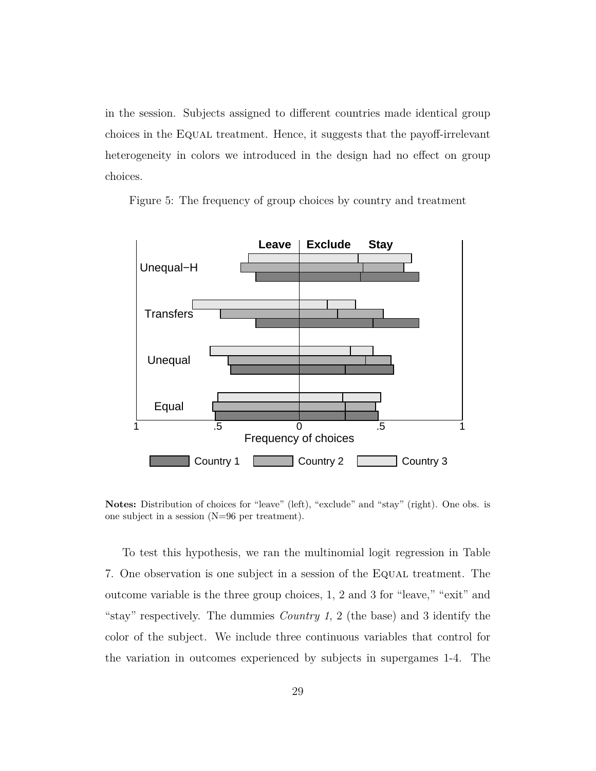in the session. Subjects assigned to different countries made identical group choices in the Equal treatment. Hence, it suggests that the payoff-irrelevant heterogeneity in colors we introduced in the design had no effect on group choices.



Figure 5: The frequency of group choices by country and treatment

**Notes:** Distribution of choices for "leave" (left), "exclude" and "stay" (right). One obs. is one subject in a session (N=96 per treatment).

To test this hypothesis, we ran the multinomial logit regression in Table 7. One observation is one subject in a session of the Equal treatment. The outcome variable is the three group choices, 1, 2 and 3 for "leave," "exit" and "stay" respectively. The dummies *Country 1*, 2 (the base) and 3 identify the color of the subject. We include three continuous variables that control for the variation in outcomes experienced by subjects in supergames 1-4. The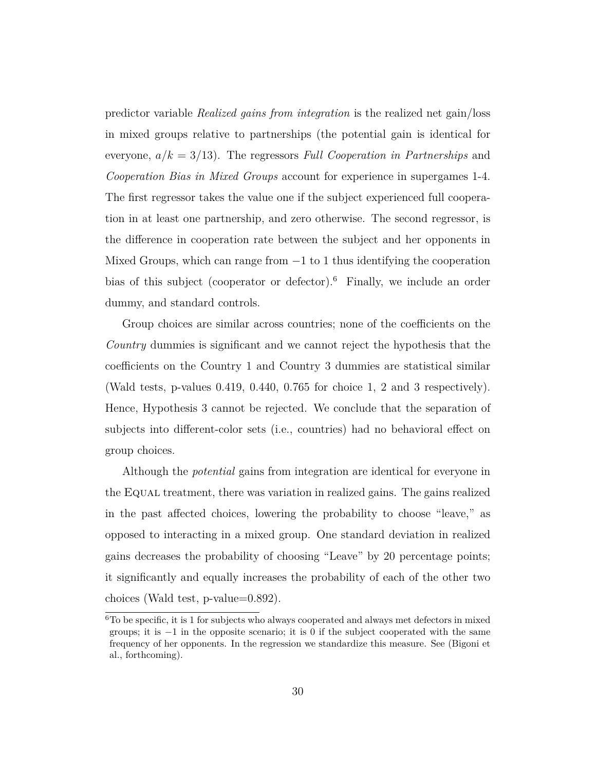predictor variable *Realized gains from integration* is the realized net gain/loss in mixed groups relative to partnerships (the potential gain is identical for everyone, *a/k* = 3*/*13). The regressors *Full Cooperation in Partnerships* and *Cooperation Bias in Mixed Groups* account for experience in supergames 1-4. The first regressor takes the value one if the subject experienced full cooperation in at least one partnership, and zero otherwise. The second regressor, is the difference in cooperation rate between the subject and her opponents in Mixed Groups, which can range from  $-1$  to 1 thus identifying the cooperation bias of this subject (cooperator or defector).<sup>6</sup> Finally, we include an order dummy, and standard controls.

Group choices are similar across countries; none of the coefficients on the *Country* dummies is significant and we cannot reject the hypothesis that the coefficients on the Country 1 and Country 3 dummies are statistical similar (Wald tests, p-values 0.419, 0.440, 0.765 for choice 1, 2 and 3 respectively). Hence, Hypothesis 3 cannot be rejected. We conclude that the separation of subjects into different-color sets (i.e., countries) had no behavioral effect on group choices.

Although the *potential* gains from integration are identical for everyone in the Equal treatment, there was variation in realized gains. The gains realized in the past affected choices, lowering the probability to choose "leave," as opposed to interacting in a mixed group. One standard deviation in realized gains decreases the probability of choosing "Leave" by 20 percentage points; it significantly and equally increases the probability of each of the other two choices (Wald test, p-value=0.892).

 ${}^{6}$ To be specific, it is 1 for subjects who always cooperated and always met defectors in mixed groups; it is  $-1$  in the opposite scenario; it is 0 if the subject cooperated with the same frequency of her opponents. In the regression we standardize this measure. See (Bigoni et al., forthcoming).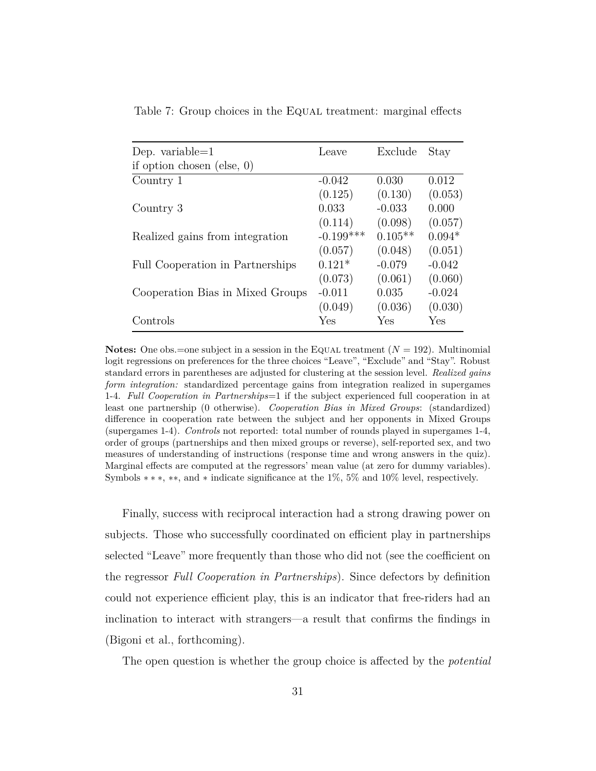| Dep. variable= $1$               | Leave       | Exclude   | Stay     |
|----------------------------------|-------------|-----------|----------|
| if option chosen (else, $0$ )    |             |           |          |
| Country 1                        | $-0.042$    | 0.030     | 0.012    |
|                                  | (0.125)     | (0.130)   | (0.053)  |
| Country 3                        | 0.033       | $-0.033$  | 0.000    |
|                                  | (0.114)     | (0.098)   | (0.057)  |
| Realized gains from integration  | $-0.199***$ | $0.105**$ | $0.094*$ |
|                                  | (0.057)     | (0.048)   | (0.051)  |
| Full Cooperation in Partnerships | $0.121*$    | $-0.079$  | $-0.042$ |
|                                  | (0.073)     | (0.061)   | (0.060)  |
| Cooperation Bias in Mixed Groups | $-0.011$    | 0.035     | $-0.024$ |
|                                  | (0.049)     | (0.036)   | (0.030)  |
| Controls                         | Yes         | Yes       | Yes      |

Table 7: Group choices in the EQUAL treatment: marginal effects

**Notes:** One obs.=one subject in a session in the EQUAL treatment  $(N = 192)$ . Multinomial logit regressions on preferences for the three choices "Leave", "Exclude" and "Stay". Robust standard errors in parentheses are adjusted for clustering at the session level. *Realized gains form integration:* standardized percentage gains from integration realized in supergames 1-4. *Full Cooperation in Partnerships*=1 if the subject experienced full cooperation in at least one partnership (0 otherwise). *Cooperation Bias in Mixed Groups*: (standardized) difference in cooperation rate between the subject and her opponents in Mixed Groups (supergames 1-4). *Controls* not reported: total number of rounds played in supergames 1-4, order of groups (partnerships and then mixed groups or reverse), self-reported sex, and two measures of understanding of instructions (response time and wrong answers in the quiz). Marginal effects are computed at the regressors' mean value (at zero for dummy variables). Symbols  $**$ , \*\*, and \* indicate significance at the 1%, 5% and 10% level, respectively.

Finally, success with reciprocal interaction had a strong drawing power on subjects. Those who successfully coordinated on efficient play in partnerships selected "Leave" more frequently than those who did not (see the coefficient on the regressor *Full Cooperation in Partnerships*). Since defectors by definition could not experience efficient play, this is an indicator that free-riders had an inclination to interact with strangers—a result that confirms the findings in (Bigoni et al., forthcoming).

The open question is whether the group choice is affected by the *potential*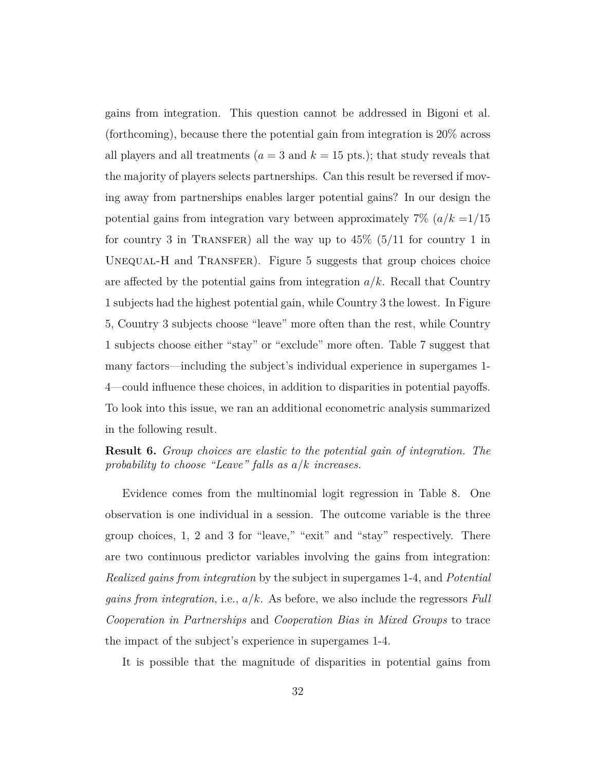gains from integration. This question cannot be addressed in Bigoni et al. (forthcoming), because there the potential gain from integration is 20% across all players and all treatments ( $a = 3$  and  $k = 15$  pts.); that study reveals that the majority of players selects partnerships. Can this result be reversed if moving away from partnerships enables larger potential gains? In our design the potential gains from integration vary between approximately  $7\%$   $(a/k = 1/15)$ for country 3 in TRANSFER) all the way up to  $45\%$  (5/11 for country 1 in UNEQUAL-H and TRANSFER). Figure 5 suggests that group choices choice are affected by the potential gains from integration *a/k*. Recall that Country 1 subjects had the highest potential gain, while Country 3 the lowest. In Figure 5, Country 3 subjects choose "leave" more often than the rest, while Country 1 subjects choose either "stay" or "exclude" more often. Table 7 suggest that many factors—including the subject's individual experience in supergames 1- 4—could influence these choices, in addition to disparities in potential payoffs. To look into this issue, we ran an additional econometric analysis summarized in the following result.

**Result 6.** *Group choices are elastic to the potential gain of integration. The probability to choose "Leave" falls as a/k increases.*

Evidence comes from the multinomial logit regression in Table 8. One observation is one individual in a session. The outcome variable is the three group choices, 1, 2 and 3 for "leave," "exit" and "stay" respectively. There are two continuous predictor variables involving the gains from integration: *Realized gains from integration* by the subject in supergames 1-4, and *Potential gains from integration*, i.e., *a/k*. As before, we also include the regressors *Full Cooperation in Partnerships* and *Cooperation Bias in Mixed Groups* to trace the impact of the subject's experience in supergames 1-4.

It is possible that the magnitude of disparities in potential gains from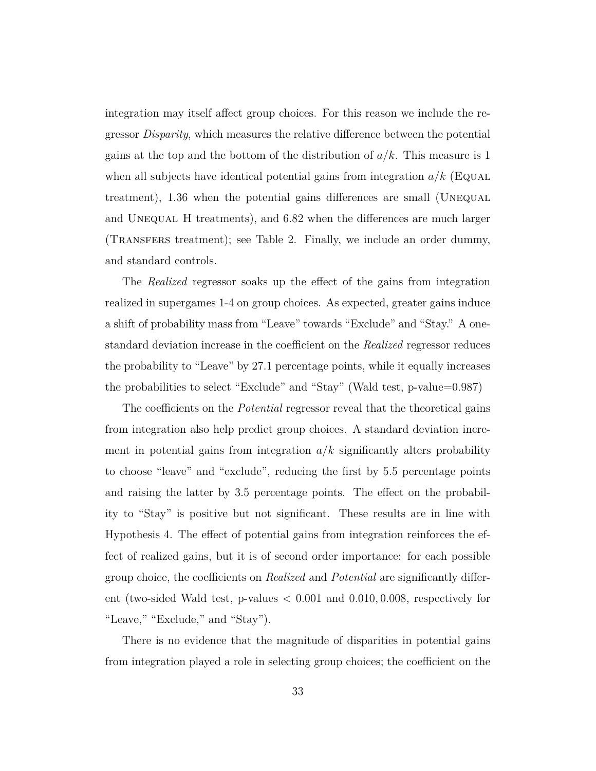integration may itself affect group choices. For this reason we include the regressor *Disparity*, which measures the relative difference between the potential gains at the top and the bottom of the distribution of *a/k*. This measure is 1 when all subjects have identical potential gains from integration  $a/k$  (Equal treatment), 1.36 when the potential gains differences are small (Unequal and UNEQUAL H treatments), and 6.82 when the differences are much larger (Transfers treatment); see Table 2. Finally, we include an order dummy, and standard controls.

The *Realized* regressor soaks up the effect of the gains from integration realized in supergames 1-4 on group choices. As expected, greater gains induce a shift of probability mass from "Leave" towards "Exclude" and "Stay." A onestandard deviation increase in the coefficient on the *Realized* regressor reduces the probability to "Leave" by 27.1 percentage points, while it equally increases the probabilities to select "Exclude" and "Stay" (Wald test, p-value=0.987)

The coefficients on the *Potential* regressor reveal that the theoretical gains from integration also help predict group choices. A standard deviation increment in potential gains from integration  $a/k$  significantly alters probability to choose "leave" and "exclude", reducing the first by 5.5 percentage points and raising the latter by 3.5 percentage points. The effect on the probability to "Stay" is positive but not significant. These results are in line with Hypothesis 4. The effect of potential gains from integration reinforces the effect of realized gains, but it is of second order importance: for each possible group choice, the coefficients on *Realized* and *Potential* are significantly different (two-sided Wald test, p-values *<* 0*.*001 and 0*.*010*,* 0*.*008, respectively for "Leave," "Exclude," and "Stay").

There is no evidence that the magnitude of disparities in potential gains from integration played a role in selecting group choices; the coefficient on the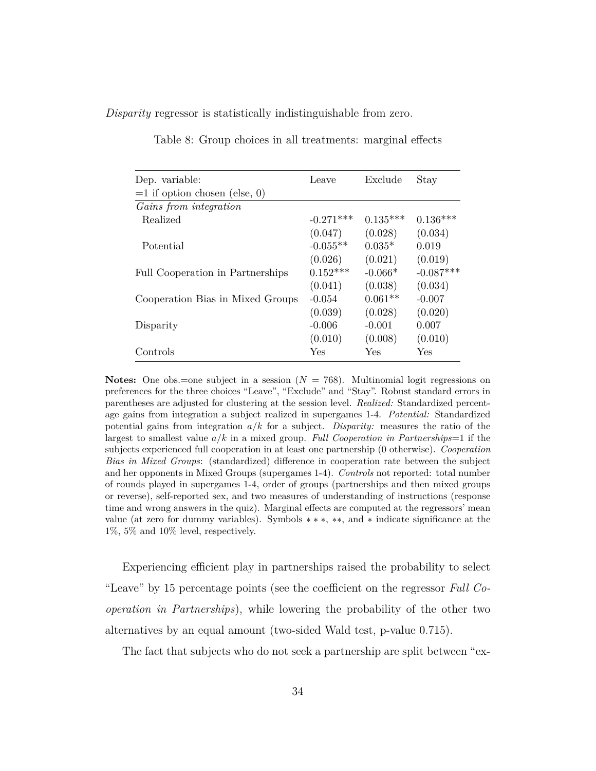*Disparity* regressor is statistically indistinguishable from zero.

| Dep. variable:                   | Leave       | Exclude    | Stay        |
|----------------------------------|-------------|------------|-------------|
| $=1$ if option chosen (else, 0)  |             |            |             |
| Gains from integration           |             |            |             |
| Realized                         | $-0.271***$ | $0.135***$ | $0.136***$  |
|                                  | (0.047)     | (0.028)    | (0.034)     |
| Potential                        | $-0.055**$  | $0.035*$   | 0.019       |
|                                  | (0.026)     | (0.021)    | (0.019)     |
| Full Cooperation in Partnerships | $0.152***$  | $-0.066*$  | $-0.087***$ |
|                                  | (0.041)     | (0.038)    | (0.034)     |
| Cooperation Bias in Mixed Groups | $-0.054$    | $0.061**$  | $-0.007$    |
|                                  | (0.039)     | (0.028)    | (0.020)     |
| Disparity                        | $-0.006$    | $-0.001$   | 0.007       |
|                                  | (0.010)     | (0.008)    | (0.010)     |
| Controls                         | Yes         | Yes        | Yes         |

Table 8: Group choices in all treatments: marginal effects

**Notes:** One obs.=one subject in a session  $(N = 768)$ . Multinomial logit regressions on preferences for the three choices "Leave", "Exclude" and "Stay". Robust standard errors in parentheses are adjusted for clustering at the session level. *Realized:* Standardized percentage gains from integration a subject realized in supergames 1-4. *Potential:* Standardized potential gains from integration *a/k* for a subject. *Disparity:* measures the ratio of the largest to smallest value *a/k* in a mixed group. *Full Cooperation in Partnerships*=1 if the subjects experienced full cooperation in at least one partnership (0 otherwise). *Cooperation Bias in Mixed Groups*: (standardized) difference in cooperation rate between the subject and her opponents in Mixed Groups (supergames 1-4). *Controls* not reported: total number of rounds played in supergames 1-4, order of groups (partnerships and then mixed groups or reverse), self-reported sex, and two measures of understanding of instructions (response time and wrong answers in the quiz). Marginal effects are computed at the regressors' mean value (at zero for dummy variables). Symbols ∗ ∗ ∗, ∗∗, and ∗ indicate significance at the 1%, 5% and 10% level, respectively.

Experiencing efficient play in partnerships raised the probability to select "Leave" by 15 percentage points (see the coefficient on the regressor *Full Cooperation in Partnerships*), while lowering the probability of the other two alternatives by an equal amount (two-sided Wald test, p-value 0*.*715).

The fact that subjects who do not seek a partnership are split between "ex-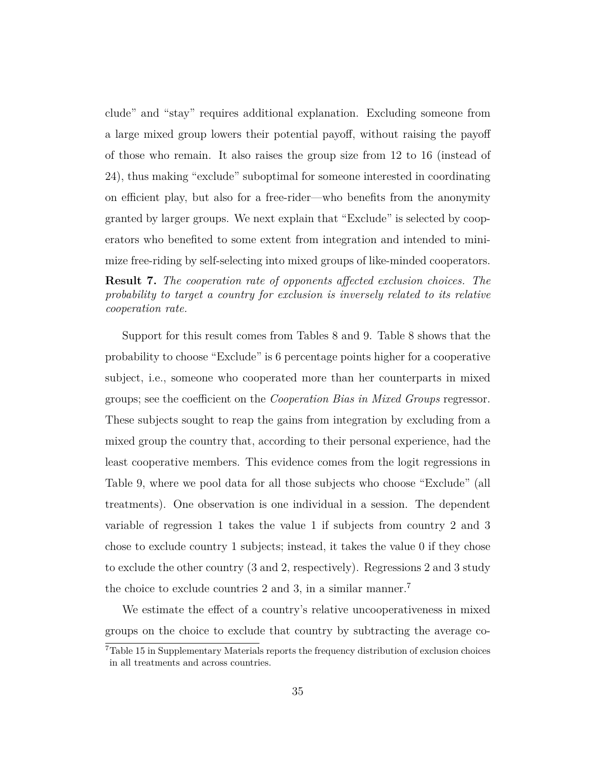clude" and "stay" requires additional explanation. Excluding someone from a large mixed group lowers their potential payoff, without raising the payoff of those who remain. It also raises the group size from 12 to 16 (instead of 24), thus making "exclude" suboptimal for someone interested in coordinating on efficient play, but also for a free-rider—who benefits from the anonymity granted by larger groups. We next explain that "Exclude" is selected by cooperators who benefited to some extent from integration and intended to minimize free-riding by self-selecting into mixed groups of like-minded cooperators.

**Result 7.** *The cooperation rate of opponents affected exclusion choices. The probability to target a country for exclusion is inversely related to its relative cooperation rate.*

Support for this result comes from Tables 8 and 9. Table 8 shows that the probability to choose "Exclude" is 6 percentage points higher for a cooperative subject, i.e., someone who cooperated more than her counterparts in mixed groups; see the coefficient on the *Cooperation Bias in Mixed Groups* regressor. These subjects sought to reap the gains from integration by excluding from a mixed group the country that, according to their personal experience, had the least cooperative members. This evidence comes from the logit regressions in Table 9, where we pool data for all those subjects who choose "Exclude" (all treatments). One observation is one individual in a session. The dependent variable of regression 1 takes the value 1 if subjects from country 2 and 3 chose to exclude country 1 subjects; instead, it takes the value 0 if they chose to exclude the other country (3 and 2, respectively). Regressions 2 and 3 study the choice to exclude countries 2 and 3, in a similar manner.<sup>7</sup>

We estimate the effect of a country's relative uncooperativeness in mixed groups on the choice to exclude that country by subtracting the average co-

<sup>7</sup>Table 15 in Supplementary Materials reports the frequency distribution of exclusion choices in all treatments and across countries.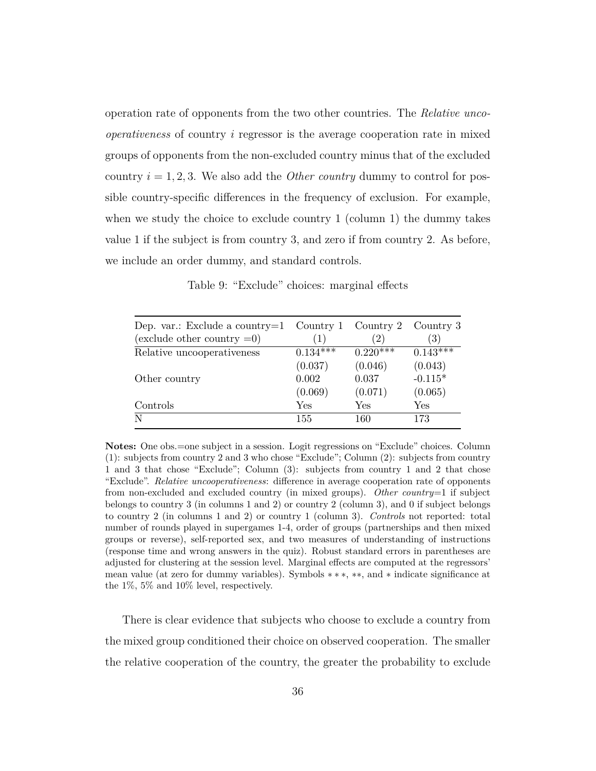operation rate of opponents from the two other countries. The *Relative uncooperativeness* of country *i* regressor is the average cooperation rate in mixed groups of opponents from the non-excluded country minus that of the excluded country  $i = 1, 2, 3$ . We also add the *Other country* dummy to control for possible country-specific differences in the frequency of exclusion. For example, when we study the choice to exclude country 1 (column 1) the dummy takes value 1 if the subject is from country 3, and zero if from country 2. As before, we include an order dummy, and standard controls.

Table 9: "Exclude" choices: marginal effects

| Dep. var.: Exclude a country= $1$<br>(exclude other country $=0$ ) | Country 1<br>(1) | Country 2  | Country 3<br>$\left( 3\right)$ |
|--------------------------------------------------------------------|------------------|------------|--------------------------------|
|                                                                    | $0.134***$       | $0.220***$ | $0.143***$                     |
| Relative uncooperativeness                                         |                  |            |                                |
|                                                                    | (0.037)          | (0.046)    | (0.043)                        |
| Other country                                                      | 0.002            | 0.037      | $-0.115*$                      |
|                                                                    | (0.069)          | (0.071)    | (0.065)                        |
| Controls                                                           | Yes              | Yes        | Yes                            |
| N                                                                  | 155              | 160        | 173                            |

**Notes:** One obs.=one subject in a session. Logit regressions on "Exclude" choices. Column (1): subjects from country 2 and 3 who chose "Exclude"; Column (2): subjects from country 1 and 3 that chose "Exclude"; Column (3): subjects from country 1 and 2 that chose "Exclude". *Relative uncooperativeness*: difference in average cooperation rate of opponents from non-excluded and excluded country (in mixed groups). *Other country*=1 if subject belongs to country 3 (in columns 1 and 2) or country 2 (column 3), and 0 if subject belongs to country 2 (in columns 1 and 2) or country 1 (column 3). *Controls* not reported: total number of rounds played in supergames 1-4, order of groups (partnerships and then mixed groups or reverse), self-reported sex, and two measures of understanding of instructions (response time and wrong answers in the quiz). Robust standard errors in parentheses are adjusted for clustering at the session level. Marginal effects are computed at the regressors' mean value (at zero for dummy variables). Symbols ∗ ∗ ∗, ∗∗, and ∗ indicate significance at the 1%, 5% and 10% level, respectively.

There is clear evidence that subjects who choose to exclude a country from the mixed group conditioned their choice on observed cooperation. The smaller the relative cooperation of the country, the greater the probability to exclude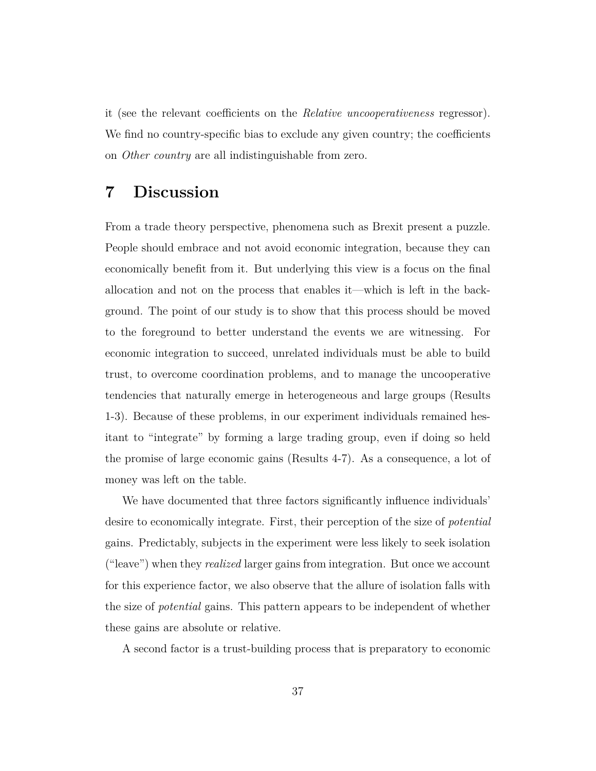it (see the relevant coefficients on the *Relative uncooperativeness* regressor). We find no country-specific bias to exclude any given country; the coefficients on *Other country* are all indistinguishable from zero.

### **7 Discussion**

From a trade theory perspective, phenomena such as Brexit present a puzzle. People should embrace and not avoid economic integration, because they can economically benefit from it. But underlying this view is a focus on the final allocation and not on the process that enables it—which is left in the background. The point of our study is to show that this process should be moved to the foreground to better understand the events we are witnessing. For economic integration to succeed, unrelated individuals must be able to build trust, to overcome coordination problems, and to manage the uncooperative tendencies that naturally emerge in heterogeneous and large groups (Results 1-3). Because of these problems, in our experiment individuals remained hesitant to "integrate" by forming a large trading group, even if doing so held the promise of large economic gains (Results 4-7). As a consequence, a lot of money was left on the table.

We have documented that three factors significantly influence individuals' desire to economically integrate. First, their perception of the size of *potential* gains. Predictably, subjects in the experiment were less likely to seek isolation ("leave") when they *realized* larger gains from integration. But once we account for this experience factor, we also observe that the allure of isolation falls with the size of *potential* gains. This pattern appears to be independent of whether these gains are absolute or relative.

A second factor is a trust-building process that is preparatory to economic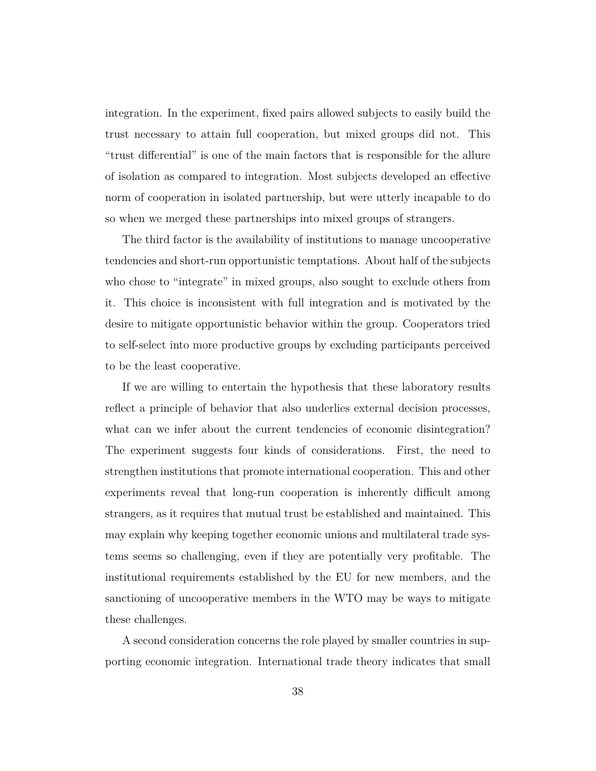integration. In the experiment, fixed pairs allowed subjects to easily build the trust necessary to attain full cooperation, but mixed groups did not. This "trust differential" is one of the main factors that is responsible for the allure of isolation as compared to integration. Most subjects developed an effective norm of cooperation in isolated partnership, but were utterly incapable to do so when we merged these partnerships into mixed groups of strangers.

The third factor is the availability of institutions to manage uncooperative tendencies and short-run opportunistic temptations. About half of the subjects who chose to "integrate" in mixed groups, also sought to exclude others from it. This choice is inconsistent with full integration and is motivated by the desire to mitigate opportunistic behavior within the group. Cooperators tried to self-select into more productive groups by excluding participants perceived to be the least cooperative.

If we are willing to entertain the hypothesis that these laboratory results reflect a principle of behavior that also underlies external decision processes, what can we infer about the current tendencies of economic disintegration? The experiment suggests four kinds of considerations. First, the need to strengthen institutions that promote international cooperation. This and other experiments reveal that long-run cooperation is inherently difficult among strangers, as it requires that mutual trust be established and maintained. This may explain why keeping together economic unions and multilateral trade systems seems so challenging, even if they are potentially very profitable. The institutional requirements established by the EU for new members, and the sanctioning of uncooperative members in the WTO may be ways to mitigate these challenges.

A second consideration concerns the role played by smaller countries in supporting economic integration. International trade theory indicates that small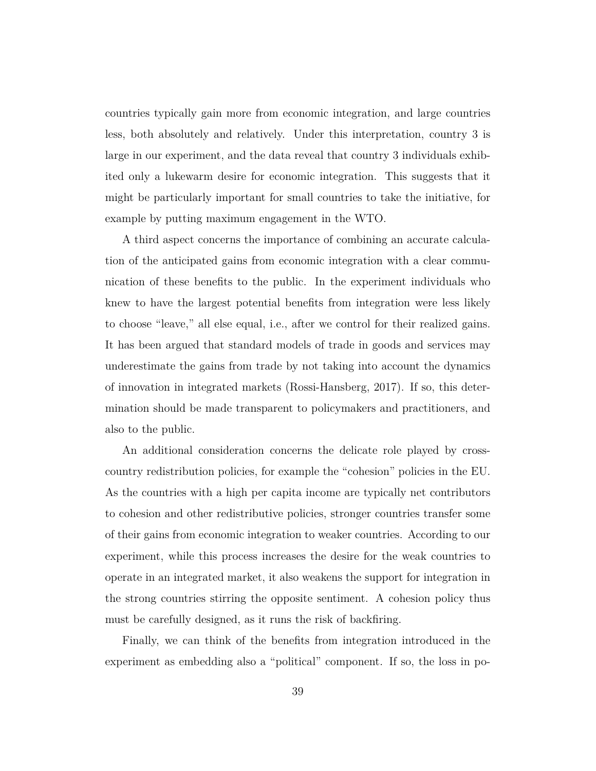countries typically gain more from economic integration, and large countries less, both absolutely and relatively. Under this interpretation, country 3 is large in our experiment, and the data reveal that country 3 individuals exhibited only a lukewarm desire for economic integration. This suggests that it might be particularly important for small countries to take the initiative, for example by putting maximum engagement in the WTO.

A third aspect concerns the importance of combining an accurate calculation of the anticipated gains from economic integration with a clear communication of these benefits to the public. In the experiment individuals who knew to have the largest potential benefits from integration were less likely to choose "leave," all else equal, i.e., after we control for their realized gains. It has been argued that standard models of trade in goods and services may underestimate the gains from trade by not taking into account the dynamics of innovation in integrated markets (Rossi-Hansberg, 2017). If so, this determination should be made transparent to policymakers and practitioners, and also to the public.

An additional consideration concerns the delicate role played by crosscountry redistribution policies, for example the "cohesion" policies in the EU. As the countries with a high per capita income are typically net contributors to cohesion and other redistributive policies, stronger countries transfer some of their gains from economic integration to weaker countries. According to our experiment, while this process increases the desire for the weak countries to operate in an integrated market, it also weakens the support for integration in the strong countries stirring the opposite sentiment. A cohesion policy thus must be carefully designed, as it runs the risk of backfiring.

Finally, we can think of the benefits from integration introduced in the experiment as embedding also a "political" component. If so, the loss in po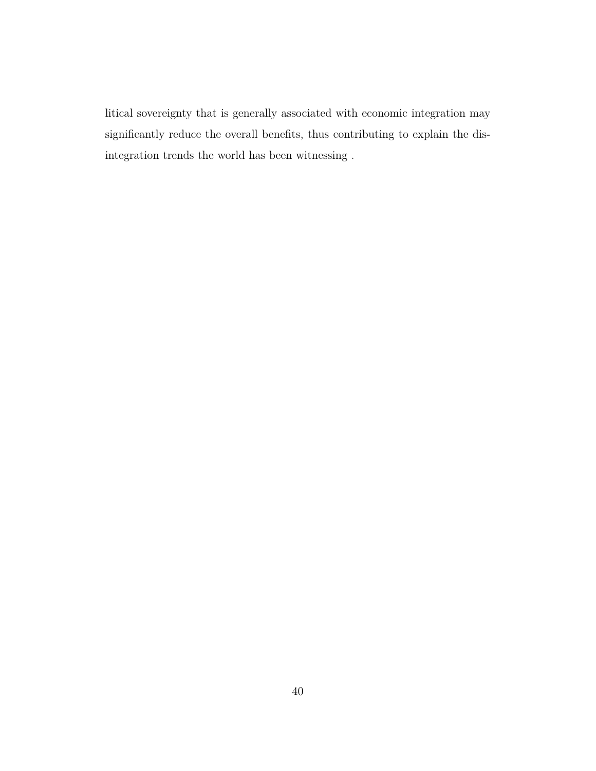litical sovereignty that is generally associated with economic integration may significantly reduce the overall benefits, thus contributing to explain the disintegration trends the world has been witnessing .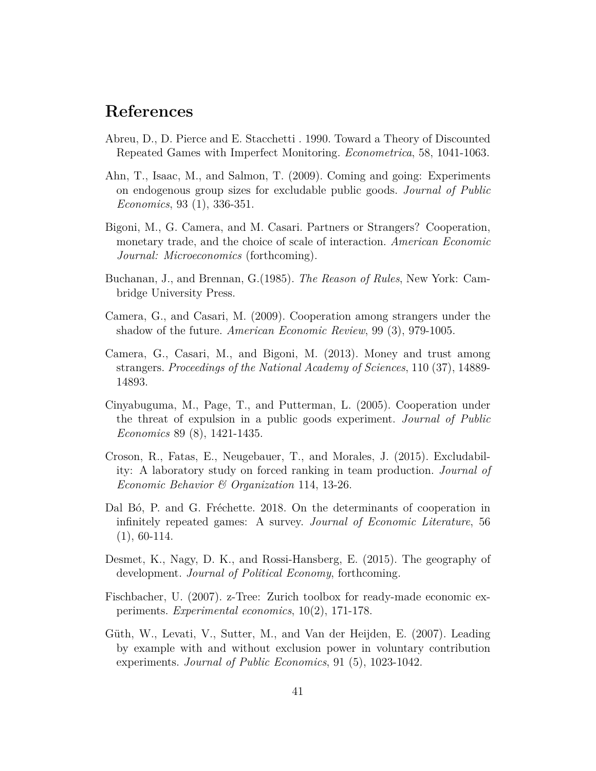### **References**

- Abreu, D., D. Pierce and E. Stacchetti . 1990. Toward a Theory of Discounted Repeated Games with Imperfect Monitoring. *Econometrica*, 58, 1041-1063.
- Ahn, T., Isaac, M., and Salmon, T. (2009). Coming and going: Experiments on endogenous group sizes for excludable public goods. *Journal of Public Economics*, 93 (1), 336-351.
- Bigoni, M., G. Camera, and M. Casari. Partners or Strangers? Cooperation, monetary trade, and the choice of scale of interaction. *American Economic Journal: Microeconomics* (forthcoming).
- Buchanan, J., and Brennan, G.(1985). *The Reason of Rules*, New York: Cambridge University Press.
- Camera, G., and Casari, M. (2009). Cooperation among strangers under the shadow of the future. *American Economic Review*, 99 (3), 979-1005.
- Camera, G., Casari, M., and Bigoni, M. (2013). Money and trust among strangers. *Proceedings of the National Academy of Sciences*, 110 (37), 14889- 14893.
- Cinyabuguma, M., Page, T., and Putterman, L. (2005). Cooperation under the threat of expulsion in a public goods experiment. *Journal of Public Economics* 89 (8), 1421-1435.
- Croson, R., Fatas, E., Neugebauer, T., and Morales, J. (2015). Excludability: A laboratory study on forced ranking in team production. *Journal of Economic Behavior & Organization* 114, 13-26.
- Dal B<sub>0</sub>, P. and G. Fréchette. 2018. On the determinants of cooperation in infinitely repeated games: A survey. *Journal of Economic Literature*, 56  $(1), 60-114.$
- Desmet, K., Nagy, D. K., and Rossi-Hansberg, E. (2015). The geography of development. *Journal of Political Economy*, forthcoming.
- Fischbacher, U. (2007). z-Tree: Zurich toolbox for ready-made economic experiments. *Experimental economics*, 10(2), 171-178.
- Güth, W., Levati, V., Sutter, M., and Van der Heijden, E. (2007). Leading by example with and without exclusion power in voluntary contribution experiments. *Journal of Public Economics*, 91 (5), 1023-1042.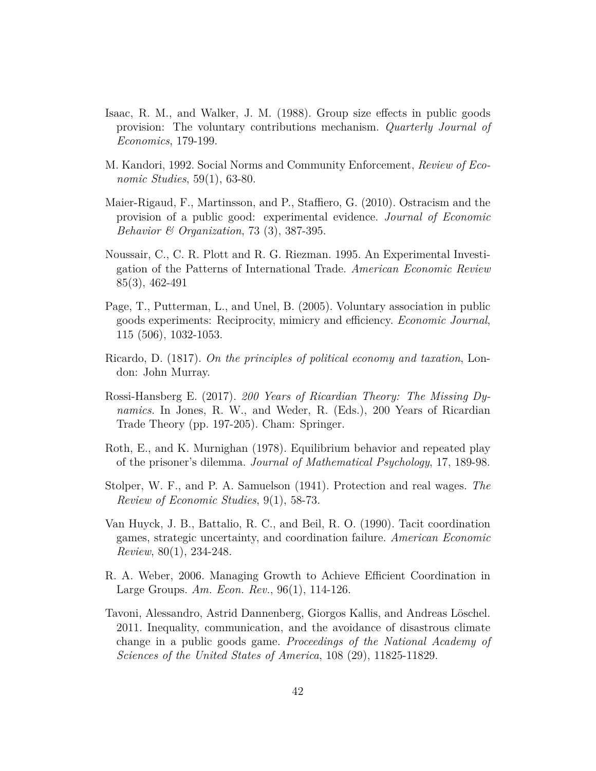- Isaac, R. M., and Walker, J. M. (1988). Group size effects in public goods provision: The voluntary contributions mechanism. *Quarterly Journal of Economics*, 179-199.
- M. Kandori, 1992. Social Norms and Community Enforcement, *Review of Economic Studies*, 59(1), 63-80.
- Maier-Rigaud, F., Martinsson, and P., Staffiero, G. (2010). Ostracism and the provision of a public good: experimental evidence. *Journal of Economic Behavior & Organization*, 73 (3), 387-395.
- Noussair, C., C. R. Plott and R. G. Riezman. 1995. An Experimental Investigation of the Patterns of International Trade. *American Economic Review* 85(3), 462-491
- Page, T., Putterman, L., and Unel, B. (2005). Voluntary association in public goods experiments: Reciprocity, mimicry and efficiency. *Economic Journal*, 115 (506), 1032-1053.
- Ricardo, D. (1817). *On the principles of political economy and taxation*, London: John Murray.
- Rossi-Hansberg E. (2017). *200 Years of Ricardian Theory: The Missing Dynamics.* In Jones, R. W., and Weder, R. (Eds.), 200 Years of Ricardian Trade Theory (pp. 197-205). Cham: Springer.
- Roth, E., and K. Murnighan (1978). Equilibrium behavior and repeated play of the prisoner's dilemma. *Journal of Mathematical Psychology*, 17, 189-98.
- Stolper, W. F., and P. A. Samuelson (1941). Protection and real wages. *The Review of Economic Studies*, 9(1), 58-73.
- Van Huyck, J. B., Battalio, R. C., and Beil, R. O. (1990). Tacit coordination games, strategic uncertainty, and coordination failure. *American Economic Review*, 80(1), 234-248.
- R. A. Weber, 2006. Managing Growth to Achieve Efficient Coordination in Large Groups. *Am. Econ. Rev.*, 96(1), 114-126.
- Tavoni, Alessandro, Astrid Dannenberg, Giorgos Kallis, and Andreas Löschel. 2011. Inequality, communication, and the avoidance of disastrous climate change in a public goods game. *Proceedings of the National Academy of Sciences of the United States of America*, 108 (29), 11825-11829.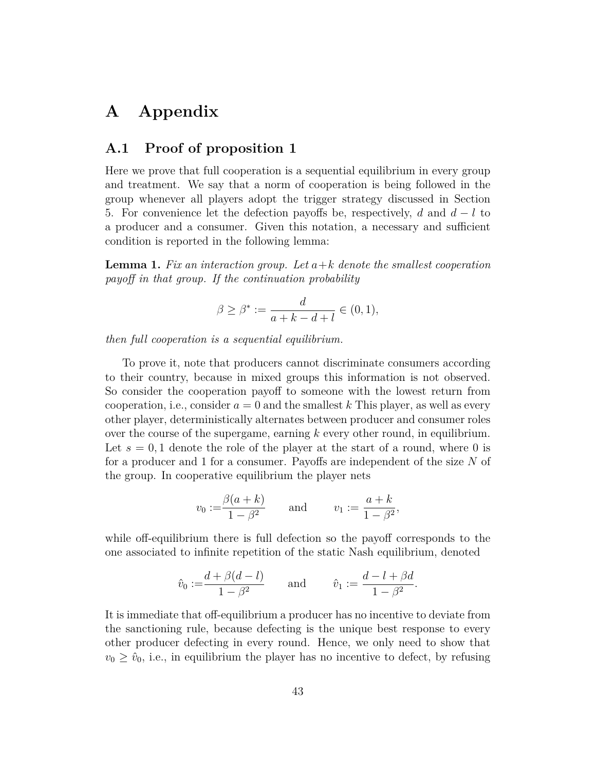## **A Appendix**

#### **A.1 Proof of proposition 1**

Here we prove that full cooperation is a sequential equilibrium in every group and treatment. We say that a norm of cooperation is being followed in the group whenever all players adopt the trigger strategy discussed in Section 5. For convenience let the defection payoffs be, respectively, *d* and *d* − *l* to a producer and a consumer. Given this notation, a necessary and sufficient condition is reported in the following lemma:

**Lemma 1.** *Fix an interaction group. Let a*+*k denote the smallest cooperation payoff in that group. If the continuation probability*

$$
\beta \ge \beta^* := \frac{d}{a+k-d+l} \in (0,1),
$$

*then full cooperation is a sequential equilibrium.*

To prove it, note that producers cannot discriminate consumers according to their country, because in mixed groups this information is not observed. So consider the cooperation payoff to someone with the lowest return from cooperation, i.e., consider  $a = 0$  and the smallest  $k$  This player, as well as every other player, deterministically alternates between producer and consumer roles over the course of the supergame, earning *k* every other round, in equilibrium. Let  $s = 0, 1$  denote the role of the player at the start of a round, where 0 is for a producer and 1 for a consumer. Payoffs are independent of the size *N* of the group. In cooperative equilibrium the player nets

$$
v_0 := \frac{\beta(a+k)}{1-\beta^2}
$$
 and  $v_1 := \frac{a+k}{1-\beta^2}$ ,

while off-equilibrium there is full defection so the payoff corresponds to the one associated to infinite repetition of the static Nash equilibrium, denoted

$$
\hat{v}_0 := \frac{d + \beta(d - l)}{1 - \beta^2}
$$
 and  $\hat{v}_1 := \frac{d - l + \beta d}{1 - \beta^2}$ .

It is immediate that off-equilibrium a producer has no incentive to deviate from the sanctioning rule, because defecting is the unique best response to every other producer defecting in every round. Hence, we only need to show that  $v_0 \geq \hat{v}_0$ , i.e., in equilibrium the player has no incentive to defect, by refusing